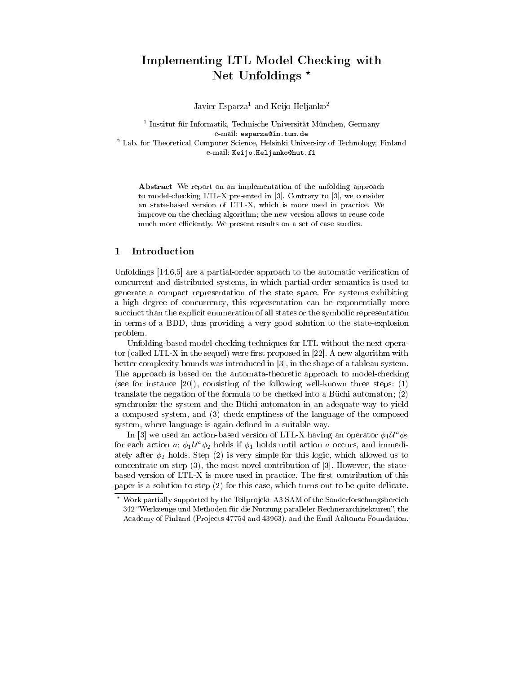# Implementing LTL Model Checking with Net Unfoldings ?

Javier Esparza<sup>1</sup> and Keijo Heljanko<sup>2</sup>

<sup>1</sup> Institut für Informatik, Technische Universität München, Germany e-mail: esparza@in.tum.de <sup>2</sup> Lab. for Theoretical Computer Science, Helsinki University of Technology, Finland e-mail: Keijo.Heljanko@hut.fi

Abstract We report on an implementation of the unfolding approach to model-checking LTL-X presented in [3]. Contrary to [3], we consider an state-based version of LTL-X, which is more used in practice. We improve on the checking algorithm; the new version allows to reuse code much more efficiently. We present results on a set of case studies.

# 1 Introduction

Unfoldings  $[14,6,5]$  are a partial-order approach to the automatic verification of concurrent and distributed systems, in which partial-order semantics is used to generate a compact representation of the state space. For systems exhibiting a high degree of concurrency, this representation can be exponentially more succinct than the explicit enumeration of all states or the symbolic representation in terms of a BDD, thus providing a very good solution to the state-explosion problem.

Unfolding-based model-checking techniques for LTL without the next operator (called LTL-X in the sequel) were first proposed in  $[22]$ . A new algorithm with better complexity bounds was introduced in [3], in the shape of a tableau system. The approach is based on the automata-theoretic approach to model-checking (see for instance  $[20]$ ), consisting of the following well-known three steps: (1) translate the negation of the formula to be checked into a Büchi automaton; (2) synchronize the system and the Büchi automaton in an adequate way to yield a composed system, and (3) check emptiness of the language of the composed system, where language is again defined in a suitable way.

In [3] we used an action-based version of LTL-X having an operator  $\phi_1 \mathcal{U}^a \phi_2$ for each action a;  $\phi_1 \mathcal{U}^a \phi_2$  holds if  $\phi_1$  holds until action a occurs, and immediately after  $\phi_2$  holds. Step (2) is very simple for this logic, which allowed us to concentrate on step (3), the most novel contribution of [3]. However, the statebased version of LTL-X is more used in practice. The first contribution of this paper is a solution to step (2) for this case, which turns out to be quite delicate.

 $^\circ$  Work partially supported by the Teilprojekt A3 SAM of the Sonderforschungsbereich  $^\circ$ 342 "Werkzeuge und Methoden für die Nutzung paralleler Rechnerarchitekturen", the Academy of Finland (Projects 47754 and 43963), and the Emil Aaltonen Foundation.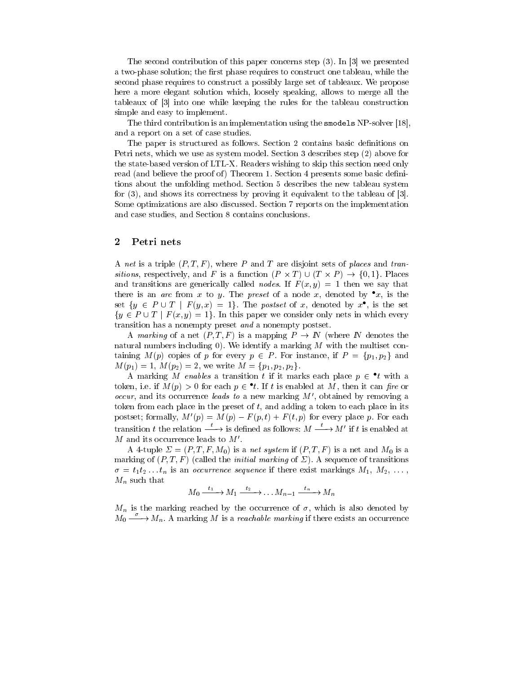The second contribution of this paper concerns step (3). In [3] we presented a two-phase solution; the first phase requires to construct one tableau, while the second phase requires to construct a possibly large set of tableaux. We propose here a more elegant solution which, loosely speaking, allows to merge all the tableaux of [3] into one while keeping the rules for the tableau construction simple and easy to implement.

The third contribution is an implementation using the smodels NP-solver [18], and a report on a set of case studies.

The paper is structured as follows. Section 2 contains basic definitions on Petri nets, which we use as system model. Section 3 describes step (2) above for the state-based version of LTL-X. Readers wishing to skip this section need only read (and believe the proof of) Theorem 1. Section 4 presents some basic definitions about the unfolding method. Section 5 describes the new tableau system for (3), and shows its correctness by proving it equivalent to the tableau of [3]. Some optimizations are also discussed. Section 7 reports on the implementation and case studies, and Section 8 contains conclusions.

### 2 Petri nets

A net is a triple  $(P, T, F)$ , where P and T are disjoint sets of places and transitively, respectively, and it is a function (P  $\rightarrow$  )  $\rightarrow$  (P  $\rightarrow$  )  $\rightarrow$  )  $\rightarrow$  ) is a function of  $\rightarrow$ and transitions are generically called *nodes*. If  $F(x, y) = 1$  then we say that there is an *arc* from x to y. The preset of a node x, denoted by  $\bullet x$ , is the set  $\{y \in P \cup I \mid F(y, x) = 1\}$ . The posiset of x, denoted by x, is the set  $\{y \in P \cup T \mid F(x, y)=1\}$ . In this paper we consider only nets in which every transition has a nonempty preset and a nonempty postset.

A marking of a net  $(P, T, F)$  is a mapping  $P \to \mathbb{N}$  (where  $\mathbb N$  denotes the natural numbers including 0). We identify a marking  $M$  with the multiset containing  $M(p)$  copies of p for every  $p \in P$ . For instance, if  $P = \{p_1, p_2\}$  and  $M(p_1)=1, M(p_2)=2,$  we write  $M = \{p_1, p_2, p_2\}.$ 

A marking *M enables* a transition  $\iota$  if it marks each place  $p \in \iota$  with a token, i.e. if  $M(p) > 0$  for each  $p \in \iota$ . If  $\iota$  is enabled at  $M$ , then it can  $\mu r$  or *occur*, and its occurrence *leads to* a new marking  $M'$ , obtained by removing a token from each place in the preset of  $t$ , and adding a token to each place in its postset; formally,  $M'(p) = M(p) - F(p, t) + F(t, p)$  for every place p. For each transition t the relation  $\xrightarrow{t}$  is defined as follows:  $M \xrightarrow{t} M'$  if t is enabled at  $M$  and its occurrence leads to  $M'$ .

A 4-tuple  $\Sigma = (P, T, F, M_0)$  is a net system if  $(P, T, F)$  is a net and  $M_0$  is a marking of  $(P, T, F)$  (called the *initial marking* of  $\Sigma$ ). A sequence of transitions  $\sigma = t_1t_2...t_n$  is an *occurrence sequence* if there exist markings  $M_1, M_2, ...,$  $M_n$  such that

$$
M_0 \xrightarrow{t_1} M_1 \xrightarrow{t_2} \dots M_{n-1} \xrightarrow{t_n} M_n
$$

 $M_n$  is the marking reached by the occurrence of  $\sigma$ , which is also denoted by  $M_0 \stackrel{\sigma}{\longrightarrow} M_n$ . A marking M is a reachable marking if there exists an occurrence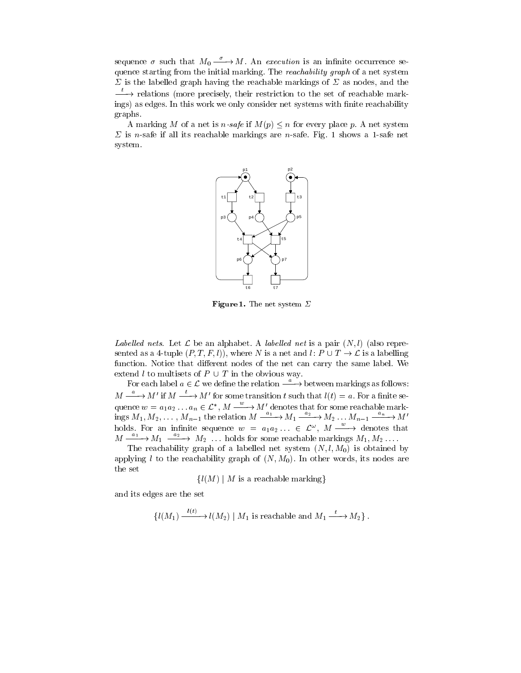sequence  $\sigma$  such that  $M_0 \stackrel{\sigma}{\longrightarrow} M$ . An *execution* is an infinite occurrence sequence starting from the initial marking. The reachability graph of a net system  $\Sigma$  is the labelled graph having the reachable markings of  $\Sigma$  as nodes, and the  $\longrightarrow$  relations (more precisely, their restriction to the set of reachable markings) as edges. In this work we only consider net systems with finite reachability graphs.

A marking M of a net is n-safe if  $M(p) \leq n$  for every place p. A net system  $\Sigma$  is *n*-safe if all its reachable markings are *n*-safe. Fig. 1 shows a 1-safe net system.



Figure 1. The net system  $\varSigma$ 

Labelled nets. Let  $\mathcal L$  be an alphabet. A labelled net is a pair  $(N, l)$  (also represented as a 4-tuple  $(P, T, F, l)$ , where N is a net and l:  $P \cup T \rightarrow \mathcal{L}$  is a labelling function. Notice that different nodes of the net can carry the same label. We extend l to multisets of  $P \cup T$  in the obvious way.

For each label  $a \in \mathcal{L}$  we define the relation  $\xrightarrow{a}$  between markings as follows:  $M \stackrel{a}{\longrightarrow} M'$  if  $M \stackrel{t}{\longrightarrow} M'$  for some transition t such that  $l(t) = a$ . For a finite sequence  $w = a_1 a_2 \ldots a_n \in L^*$ ,  $M \stackrel{\sim}{\longrightarrow} M'$  denotes that for some reachable markings  $M_1, M_2, \ldots, M_{n-1}$  the relation  $M \xrightarrow{1} M_1 \xrightarrow{2} M_2 \ldots M_{n-1} \xrightarrow{2} M'$ holds. For an infinite sequence  $w = a_1 a_2 \ldots \in \mathcal{L}^{\omega}, M \longrightarrow$  denotes that  $M \xrightarrow{a_1} M_1 \xrightarrow{a_2} M_2 \dots$  holds for some reachable markings  $M_1, M_2 \dots$ .

The reachability graph of a labelled net system  $(N, l, M_0)$  is obtained by applying l to the reachability graph of  $(N, M_0)$ . In other words, its nodes are the set

 $\{l(M) \mid M$  is a reachable marking}

and its edges are the set

 $\{l(M_1) \xrightarrow{\cdots} l(M_2) \mid M_1 \text{ is reachable and } M_1 \xrightarrow{\cdots} M_2 \}.$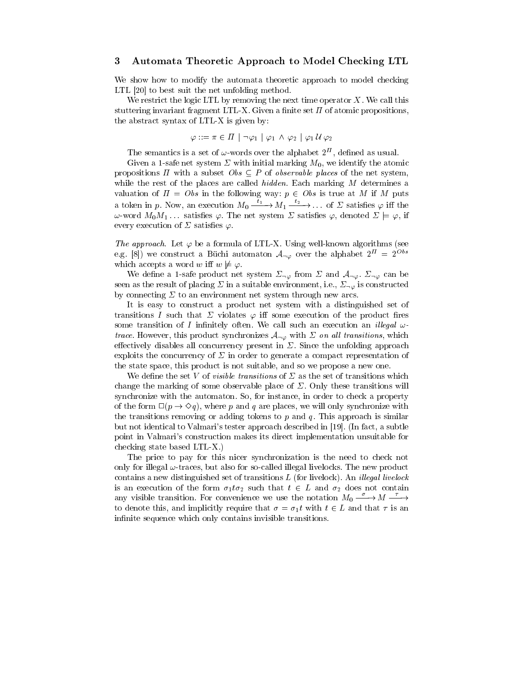### 3 Automata Theoretic Approach to Model Checking LTL

We show how to modify the automata theoretic approach to model checking LTL [20] to best suit the net unfolding method.

We restrict the logic LTL by removing the next time operator  $X$ . We call this stuttering invariant fragment LTL-X. Given a finite set  $\Pi$  of atomic propositions, the abstract syntax of LTL-X is given by:

$$
\varphi ::= \pi \in \varPi \,\mid \neg \varphi_1 \,\mid \varphi_1 \,\wedge \,\varphi_2 \,\mid \varphi_1 \,\mathcal{U} \,\varphi_2
$$

I he semantics is a set of  $\omega$ -words over the alphabet  $2^+$ , defined as usual.

Given a 1-safe net system  $\Sigma$  with initial marking  $M_0$ , we identify the atomic propositions  $\Pi$  with a subset  $Obs \subseteq P$  of *observable places* of the net system, while the rest of the places are called *hidden*. Each marking  $M$  determines a valuation of  $\Pi = Obs$  in the following way:  $p \in Obs$  is true at M if M puts a token in p. Now, an execution  $M_0 \longrightarrow M_1 \longrightarrow \cdots$  of  $\Sigma$  satisfies  $\varphi$  iff the  $\omega$ -word  $M_0M_1...$  satisfies  $\varphi$ . The net system  $\Sigma$  satisfies  $\varphi$ , denoted  $\Sigma \models \varphi$ , if every execution of  $\Sigma$  satisfies  $\varphi$ .

The approach. Let  $\varphi$  be a formula of LTL-X. Using well-known algorithms (see e.g. [8]) we construct a Büchi automaton  $A_{\neg \varphi}$  over the alphabet  $2^{\pi} = 2^{Obs}$ which accepts a word w iff  $w \not\models \varphi$ .

We define a 1-safe product net system  $\Sigma_{\neg \varphi}$  from  $\Sigma$  and  $\mathcal{A}_{\neg \varphi}$ .  $\Sigma_{\neg \varphi}$  can be seen as the result of placing  $\Sigma$  in a suitable environment, i.e.,  $\Sigma_{\neg \varphi}$  is constructed by connecting  $\Sigma$  to an environment net system through new arcs.

It is easy to construct a product net system with a distinguished set of transitions I such that  $\Sigma$  violates  $\varphi$  iff some execution of the product fires some transition of I infinitely often. We call such an execution an *illegal*  $\omega$ trace. However, this product synchronizes  $A_{\neg \varphi}$  with  $\Sigma$  on all transitions, which effectively disables all concurrency present in  $\Sigma$ . Since the unfolding approach exploits the concurrency of  $\Sigma$  in order to generate a compact representation of the state space, this product is not suitable, and so we propose a new one.

We define the set V of *visible transitions* of  $\Sigma$  as the set of transitions which change the marking of some observable place of  $\Sigma$ . Only these transitions will synchronize with the automaton. So, for instance, in order to check a property of the form  $\Box(p \rightarrow \Diamond q)$ , where p and q are places, we will only synchronize with the transitions removing or adding tokens to  $p$  and  $q$ . This approach is similar but not identical to Valmari's tester approach described in [19]. (In fact, a subtle point in Valmari's construction makes its direct implementation unsuitable for checking state based LTL-X.)

The price to pay for this nicer synchronization is the need to check not only for illegal  $\omega$ -traces, but also for so-called illegal livelocks. The new product contains a new distinguished set of transitions  $L$  (for livelock). An *illegal livelock* is an execution of the form  $\sigma_1 t \sigma_2$  such that  $t \in L$  and  $\sigma_2$  does not contain any visible transition. For convenience we use the notation  $M_0 \xrightarrow{\sigma} M \xrightarrow{\tau}$ to denote this, and implicitly require that  $\sigma = \sigma_1 t$  with  $t \in L$  and that  $\tau$  is an infinite sequence which only contains invisible transitions.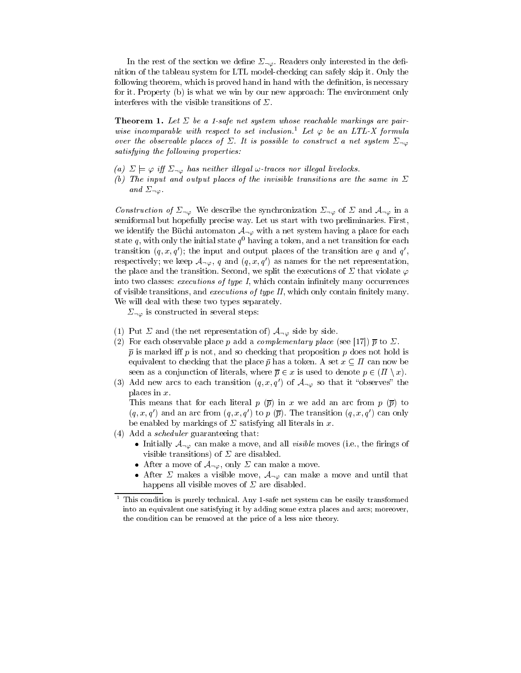In the rest of the section we define  $\Sigma_{\neg \varphi}$ . Readers only interested in the definition of the tableau system for LTL model-checking can safely skip it. Only the following theorem, which is proved hand in hand with the definition, is necessary for it. Property (b) is what we win by our new approach: The environment only interferes with the visible transitions of  $\Sigma$ .

**Theorem 1.** Let  $\Sigma$  be a 1-safe net system whose reachable markings are pairwise incomparable with respect to set inclusion.<sup>1</sup> Let  $\varphi$  be an LTL-X formula over the observable places of  $\Sigma$ . It is possible to construct a net system  $\Sigma_{\neg \varphi}$ satisfying the following properties:

- (a)  $\sum \models \varphi$  iff  $\Sigma_{\neg \varphi}$  has neither illegal  $\omega$ -traces nor illegal livelocks.
- (b) The input and output places of the invisible transitions are the same in  $\Sigma$ and  $\Sigma_{\neg\varphi}$ .

Construction of  $\Sigma_{\neg \varphi}$  We describe the synchronization  $\Sigma_{\neg \varphi}$  of  $\Sigma$  and  $\mathcal{A}_{\neg \varphi}$  in a semiformal but hopefully precise way. Let us start with two preliminaries. First, we identify the Büchi automaton  $A_{\neg \varphi}$  with a net system having a place for each state  $q$ , with only the initial state  $q^{\perp}$  having a token, and a net transition for each transition  $(q, x, q)$ ; the input and output places of the transition are  $q$  and  $q$ , , and the contract of the contract of the contract of the contract of the contract of the contract of the contract of the contract of the contract of the contract of the contract of the contract of the contract of the con respectively; we keep  $\mathcal{A}_{\neg \varphi}$ , q and  $(q, x, q')$  as names for the net representation, the place and the transition. Second, we split the executions of  $\Sigma$  that violate  $\varphi$ into two classes: executions of type I, which contain infinitely many occurrences of visible transitions, and executions of type  $II$ , which only contain finitely many. We will deal with these two types separately.

 $\Sigma_{\neg \varphi}$  is constructed in several steps:

- (1) Put  $\Sigma$  and (the net representation of)  $\mathcal{A}_{\neg \varphi}$  side by side.
- (2) For each observable place p add a *complementary place* (see [17])  $\bar{p}$  to  $\Sigma$ .  $\bar{p}$  is marked iff p is not, and so checking that proposition p does not hold is equivalent to checking that the place  $\bar{p}$  has a token. A set  $x \subseteq \Pi$  can now be seen as a conjunction of literals, where  $\overline{p} \in x$  is used to denote  $p \in (\Pi \setminus x)$ .
- (3) Add new arcs to each transition  $(q, x, q')$  of  $\mathcal{A}_{\neg \varphi}$  so that it "observes" the places in x.

This means that for each literal p  $(\bar{p})$  in x we add an arc from p  $(\bar{p})$  to  $(q, x, q')$  and an arc from  $(q, x, q')$  to p  $(\overline{p})$ . The transition  $(q, x, q')$  can only be enabled by markings of  $\Sigma$  satisfying all literals in x.

- (4) Add a scheduler guaranteeing that:
	- Initially  $A_{\neg \varphi}$  can make a move, and all *visible* moves (i.e., the firings of visible transitions) of  $\Sigma$  are disabled.
	- After a move of  $\mathcal{A}_{\neg \varphi}$ , only  $\Sigma$  can make a move.
	- After  $\Sigma$  makes a visible move,  $\mathcal{A}_{\neg \varphi}$  can make a move and until that happens all visible moves of  $\Sigma$  are disabled.

<sup>1</sup> This condition is purely technical. Any 1-safe net system can be easily transformed into an equivalent one satisfying it by adding some extra places and arcs; moreover, the condition can be removed at the price of a less nice theory.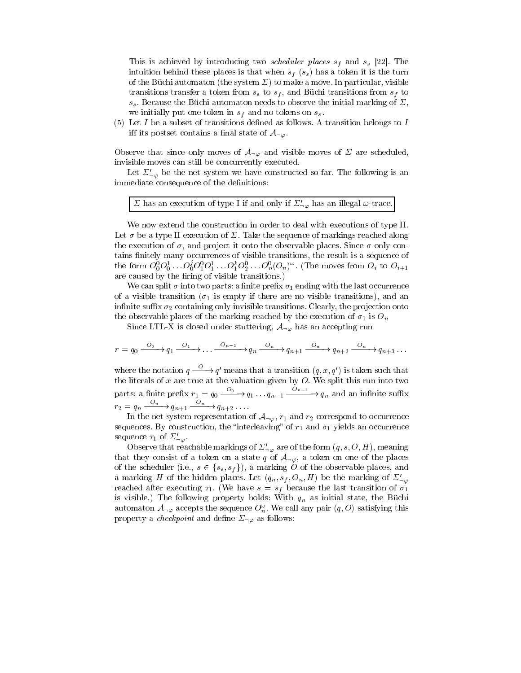This is achieved by introducing two *scheduler places*  $s_f$  and  $s_s$  [22]. The intuition behind these places is that when  $s_f$  ( $s_s$ ) has a token it is the turn of the Büchi automaton (the system  $\Sigma$ ) to make a move. In particular, visible transitions transfer a token from  $s<sub>s</sub>$  to  $s<sub>f</sub>$ , and Büchi transitions from  $s<sub>f</sub>$  to  $s<sub>s</sub>$ . Because the Büchi automaton needs to observe the initial marking of  $\Sigma$ , we initially put one token in  $s_f$  and no tokens on  $s_s$ .

(5) Let I be a subset of transitions defined as follows. A transition belongs to I iff its postset contains a final state of  $\mathcal{A}_{\neg\varphi}$ .

Observe that since only moves of  $\mathcal{A}_{\neg \varphi}$  and visible moves of  $\Sigma$  are scheduled, invisible moves can still be concurrently executed.

Let  $\Sigma'_{\neg \varphi}$  be the net system we have constructed so far. The following is an immediate consequence of the definitions:

 $\Sigma$  has an execution of type I if and only if  $\Sigma'_{-\varphi}$  has an illegal  $\omega$ -trace.

We now extend the construction in order to deal with executions of type II. Let  $\sigma$  be a type II execution of  $\Sigma$ . Take the sequence of markings reached along the execution of  $\sigma$ , and project it onto the observable places. Since  $\sigma$  only contains finitely many occurrences of visible transitions, the result is a sequence of the form  $U_0^sU_0^s \dots U_0^sU_1^sU_1^s \dots U_1^sU_2^s \dots U_n^s(U_n)^s$ . (The moves from  $U_i$  to  $U_{i+1}$ are caused by the firing of visible transitions.)

We can split  $\sigma$  into two parts: a finite prefix  $\sigma_1$  ending with the last occurrence of a visible transition ( $\sigma_1$  is empty if there are no visible transitions), and an infinite suffix  $\sigma_2$  containing only invisible transitions. Clearly, the projection onto the observable places of the marking reached by the execution of  $\sigma_1$  is  $O_n$ 

Since LTL-X is closed under stuttering,  $\mathcal{A}_{\neg \varphi}$  has an accepting run

$$
r = q_0 \xrightarrow{O_0} q_1 \xrightarrow{O_1} \dots \xrightarrow{O_{n-1}} q_n \xrightarrow{O_n} q_{n+1} \xrightarrow{O_n} q_{n+2} \xrightarrow{O_n} q_{n+3} \dots
$$

where the notation  $q \longrightarrow q'$  means that a transition  $(q, x, q')$  is taken such that the literature at the value at the value at the value  $\mathbb{R}^n$  split this run into two split this run into two split this run into two split this run into two split this run into two split this run into two split two sp parts: a finite prefix  $r_1 = q_0 \xrightarrow{0} q_1 \dots q_{n-1} \xrightarrow{a} q_n$  and an infinite suffix  $r_2 = q_n \xrightarrow{r_n} q_{n+1} \xrightarrow{r_n} q_{n+2} \dots$ 

In the net system representation of  $\mathcal{A}_{\neg \varphi}$ ,  $r_1$  and  $r_2$  correspond to occurrence sequences. By construction, the "interleaving" of  $r_1$  and  $\sigma_1$  yields an occurrence sequence  $\tau_1$  of  $\Sigma'_{\neg\varphi}$ .

Observe that reachable markings of  $\Sigma'_{\neg\varphi}$  are of the form  $(q, s, O, H)$ , meaning that they consist of a token on a state q of  $\mathcal{A}_{\neg \varphi}$ , a token on one of the places of the scheduler (i.e.,  $s \in \{s_s, s_f\}$ ), a marking O of the observable places, and a marking H of the hidden places. Let  $(q_n, s_f, O_n, H)$  be the marking of  $\Sigma'_{\neg \varphi}$ reached after executing  $\tau_1$ . (We have  $s = s_f$  because the last transition of  $\sigma_1$ is visible.) The following property holds: With  $q_n$  as initial state, the Büchi automaton  $\mathcal{A}_{\neg\varphi}$  accepts the sequence  $\mathcal{O}_n$ . We call any pair  $(q,\mathcal{O})$  satisfying this property a *checkpoint* and define  $\Sigma_{\neg\varphi}$  as follows: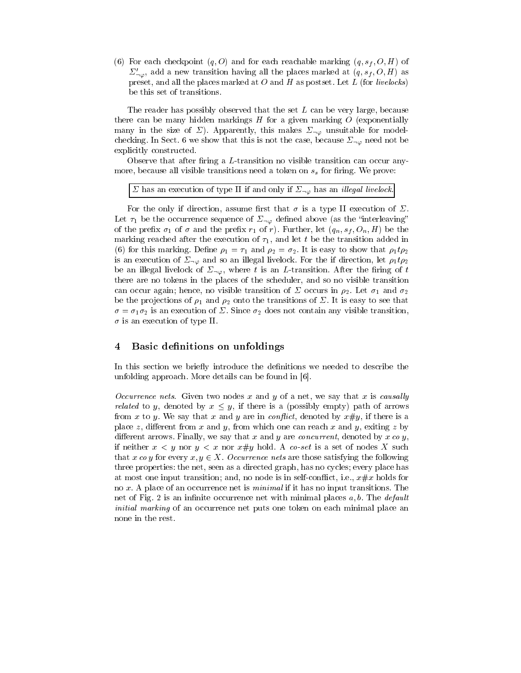(6) For each checkpoint  $(q, 0)$  and for each reachable marking  $(q, s_f, O, H)$  of  $\Sigma'_{\neg \varphi}$ , add a new transition having all the places marked at  $(q, s_f, O, H)$  as preset, and all the places marked at  $O$  and  $H$  as postset. Let  $L$  (for *livelocks*) be this set of transitions.

The reader has possibly observed that the set L can be very large, because there can be many hidden markings  $H$  for a given marking  $O$  (exponentially many in the size of  $\Sigma$ ). Apparently, this makes  $\Sigma_{\neg \varphi}$  unsuitable for modelchecking. In Sect. 6 we show that this is not the case, because  $\Sigma_{\neg \varphi}$  need not be explicitly constructed.

Observe that after firing a L-transition no visible transition can occur anymore, because all visible transitions need a token on  $s<sub>s</sub>$  for firing. We prove:

 $\Sigma$  has an execution of type II if and only if  $\Sigma_{\neg\varphi}$  has an *illegal livelock*.

For the only if direction, assume first that  $\sigma$  is a type II execution of  $\Sigma$ . Let  $\tau_1$  be the occurrence sequence of  $\Sigma_{\neg \varphi}$  defined above (as the "interleaving" of the prefix  $\sigma_1$  of  $\sigma$  and the prefix  $r_1$  of r). Further, let  $(q_n, s_f, O_n, H)$  be the marking reached after the execution of  $\tau_1$ , and let t be the transition added in (6) for this marking. Define  $\rho_1 = \tau_1$  and  $\rho_2 = \sigma_2$ . It is easy to show that  $\rho_1 t \rho_2$ is an execution of  $\Sigma_{\neg \varphi}$  and so an illegal livelock. For the if direction, let  $\rho_1 t \rho_2$ be an illegal livelock of  $\Sigma_{\neg \varphi}$ , where t is an L-transition. After the firing of t there are no tokens in the places of the scheduler, and so no visible transition can occur again; hence, no visible transition of  $\Sigma$  occurs in  $\rho_2$ . Let  $\sigma_1$  and  $\sigma_2$ be the projections of  $\rho_1$  and  $\rho_2$  onto the transitions of  $\Sigma$ . It is easy to see that  $\sigma = \sigma_1 \sigma_2$  is an execution of  $\Sigma$ . Since  $\sigma_2$  does not contain any visible transition,  $\sigma$  is an execution of type II.

# 4 Basic definitions on unfoldings

In this section we briefly introduce the definitions we needed to describe the unfolding approach. More details can be found in [6].

Occurrence nets. Given two nodes x and y of a net, we say that x is causally *related* to y, denoted by  $x \leq y$ , if there is a (possibly empty) path of arrows from x to y. We say that x and y are in conflict, denoted by  $x \# y$ , if there is a place z, different from x and y, from which one can reach x and y, exiting z by different arrows. Finally, we say that x and y are *concurrent*, denoted by  $x \text{ co } y$ , if neither  $x < y$  nor  $y < x$  nor  $x \# y$  hold. A co-set is a set of nodes X such that x co y for every  $x, y \in X$ . Occurrence nets are those satisfying the following three properties: the net, seen as a directed graph, has no cycles; every place has at most one input transition; and, no node is in self-conflict, i.e.,  $x \# x$  holds for no x. A place of an occurrence net is *minimal* if it has no input transitions. The net of Fig. 2 is an infinite occurrence net with minimal places  $a, b$ . The *default* initial marking of an occurrence net puts one token on each minimal place an none in the rest.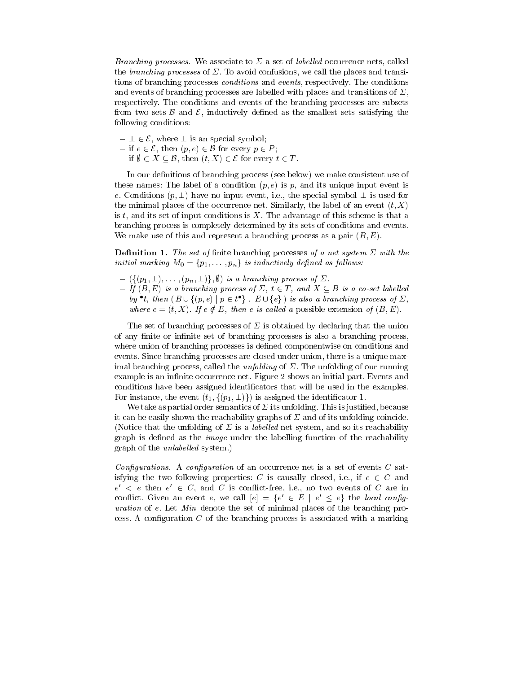Branching processes. We associate to  $\Sigma$  a set of *labelled* occurrence nets, called the *branching processes* of  $\Sigma$ . To avoid confusions, we call the places and transitions of branching processes conditions and events, respectively. The conditions and events of branching processes are labelled with places and transitions of  $\Sigma$ , respectively. The conditions and events of the branching processes are subsets from two sets  $\beta$  and  $\beta$ , inductively defined as the smallest sets satisfying the following conditions:

- $\perp \in \mathcal{E}$ , where  $\perp$  is an special symbol;
- $i \in \mathcal{E}$ , then  $(p, e) \in \mathcal{B}$  for every  $p \in P$ ;
- $\overline{\theta}$  if  $\emptyset \subset X \subset \mathcal{B}$ , then  $(t, X) \in \mathcal{E}$  for every  $t \in T$ .

In our definitions of branching process (see below) we make consistent use of these names: The label of a condition  $(p, e)$  is p, and its unique input event is e. Conditions  $(p, \perp)$  have no input event, i.e., the special symbol  $\perp$  is used for the minimal places of the occurrence net. Similarly, the label of an event  $(t, X)$ is  $t$ , and its set of input conditions is  $X$ . The advantage of this scheme is that a branching process is completely determined by its sets of conditions and events. We make use of this and represent a branching process as a pair  $(B, E)$ .

**Definition 1.** The set of finite branching processes of a net system  $\Sigma$  with the initial marking  $M_0 = \{p_1, \ldots, p_n\}$  is inductively defined as follows:

- $(\{(p_1, \perp), \ldots, (p_n, \perp)\}, \emptyset)$  is a branching process of  $\Sigma$ .
- $I = \text{If } (B, E) \text{ is a branching process of } \Sigma, t \in T, \text{ and } X \subseteq B \text{ is a co-set labelled }$ by t, then  $\{B \cup \{(p,e) \mid p \in t\}$ ,  $E \cup \{e\}$  is also a branching process of  $\Delta$ , where  $e = (t, X)$ . If  $e \notin E$ , then e is called a possible extension of  $(B, E)$ .

The set of branching processes of  $\Sigma$  is obtained by declaring that the union of any finite or infinite set of branching processes is also a branching process, where union of branching processes is defined componentwise on conditions and events. Since branching processes are closed under union, there is a unique maximal branching process, called the *unfolding* of  $\Sigma$ . The unfolding of our running example is an infinite occurrence net. Figure 2 shows an initial part. Events and conditions have been assigned identificators that will be used in the examples. For instance, the event  $(t_1, \{(p_1, \perp)\})$  is assigned the identificator 1.

We take as partial order semantics of  $\Sigma$  its unfolding. This is justified, because it can be easily shown the reachability graphs of  $\Sigma$  and of its unfolding coincide. (Notice that the unfolding of  $\Sigma$  is a *labelled* net system, and so its reachability graph is defined as the *image* under the labelling function of the reachability graph of the *unlabelled* system.)

Configurations. A configuration of an occurrence net is a set of events  $C$  satisfying the two following properties: C is causally closed, i.e., if  $e \in C$  and  $e^+ < e^-$  then  $e^+ < e^+$ , and  $\phi^-$  is conflict-free, i.e., no two events of  $\phi^-$  are in confluct. Given an event  $e$ , we can  $|e| = \{e \in E \mid e \leq e\}$  the *local conflig*uration of e. Let Min denote the set of minimal places of the branching process. A configuration  $C$  of the branching process is associated with a marking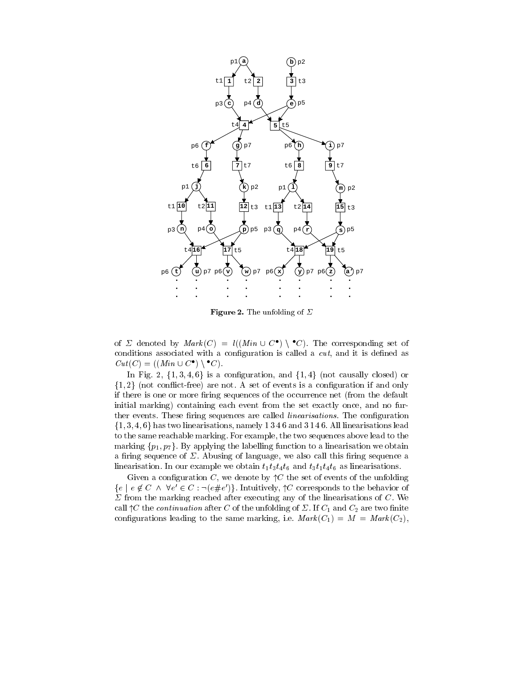

Figure 2. The unfolding of  $\Sigma$ 

of  $\varphi$  denoted by  $\mathit{Mark}(C) \equiv \mathit{U}(Min \cup C)$  ,  $C$ ). The corresponding set of conditions associated with a configuration is called a  $cut$ , and it is defined as Cut (C) = ((Min [ C ) <sup>n</sup> C).

In Fig. 2,  $\{1,3,4,6\}$  is a configuration, and  $\{1,4\}$  (not causally closed) or  $\{1, 2\}$  (not conflict-free) are not. A set of events is a configuration if and only if there is one or more firing sequences of the occurrence net (from the default initial marking) containing each event from the set exactly once, and no further events. These firing sequences are called *linearisations*. The configuration  $\{1, 3, 4, 6\}$  has two linearisations, namely 1346 and 3146. All linearisations lead to the same reachable marking. For example, the two sequences above lead to the marking  $\{p_1, p_7\}$ . By applying the labelling function to a linearisation we obtain a firing sequence of  $\Sigma$ . Abusing of language, we also call this firing sequence a linearisation. In our example we obtain  $t_1t_3t_4t_6$  and  $t_3t_1t_4t_6$  as linearisations.

Given a configuration C, we denote by  $\Upsilon$  the set of events of the unfolding  $\{e \mid e \not\in C \;\wedge\;\vee e \in C : \neg(e \# e) \}$ . Intuitively,  $\lvert C \rvert$  corresponds to the behavior of  $\Sigma$  from the marking reached after executing any of the linearisations of C. We call  $\uparrow C$  the *continuation* after C of the unfolding of  $\Sigma$ . If  $C_1$  and  $C_2$  are two finite configurations leading to the same marking, i.e.  $Mark(C_1) = M = Mark(C_2),$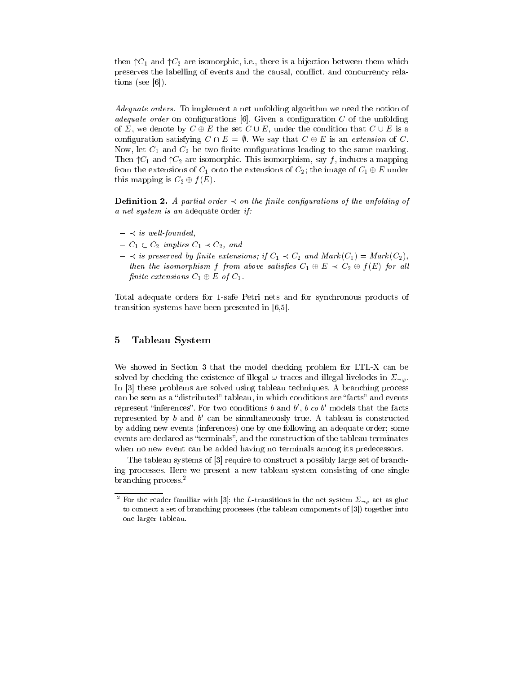then  $\uparrow C_1$  and  $\uparrow C_2$  are isomorphic, i.e., there is a bijection between them which preserves the labelling of events and the causal, conict, and concurrency relations (see [6]).

Adequate orders. To implement a net unfolding algorithm we need the notion of adequate order on configurations  $[6]$ . Given a configuration  $C$  of the unfolding of  $\Sigma$ , we denote by  $C \oplus E$  the set  $C \cup E$ , under the condition that  $C \cup E$  is a configuration satisfying  $C \cap E = \emptyset$ . We say that  $C \oplus E$  is an extension of C. Now, let  $C_1$  and  $C_2$  be two finite configurations leading to the same marking. Then  $\uparrow C_1$  and  $\uparrow C_2$  are isomorphic. This isomorphism, say f, induces a mapping from the extensions of  $C_1$  onto the extensions of  $C_2$ ; the image of  $C_1 \oplus E$  under this mapping is  $C_2 \oplus f(E)$ .

**Definition 2.** A partial order  $\prec$  on the finite configurations of the unfolding of a net system is an adequate order if:

- $\prec$  is well-founded,
- $-C_1 \subset C_2$  implies  $C_1 \prec C_2$ , and
- $i \leq s$  is preserved by finite extensions; if  $C_1 \prec C_2$  and  $Mark(C_1)= Mark(C_2),$ then the isomorphism f from above satisfies  $C_1 \oplus E \prec C_2 \oplus f(E)$  for all finite extensions  $C_1 \oplus E$  of  $C_1$ .

Total adequate orders for 1-safe Petri nets and for synchronous products of transition systems have been presented in [6,5].

# 5 Tableau System

We showed in Section 3 that the model checking problem for LTL-X can be solved by checking the existence of illegal  $\omega$ -traces and illegal livelocks in  $\Sigma_{\neg \varphi}$ . In [3] these problems are solved using tableau techniques. A branching process can be seen as a "distributed" tableau, in which conditions are "facts" and events represent inferences. For two conditions  $\theta$  and  $\theta$ ,  $\theta$  co  $\theta$  -models that the facts represented by b and b 0 can be simultaneously true. A tableau isconstructed by adding new events (inferences) one by one following an adequate order; some events are declared as "terminals", and the construction of the tableau terminates when no new event can be added having no terminals among its predecessors.

The tableau systems of [3] require to construct a possibly large set of branching processes. Here we present a new tableau system consisting of one single branching process.2

 $^{\circ}$  For the reader familiar with [3]: the L-transitions in the net system  $\varSigma_{\neg\varphi}$  act as glue to connect a set of branching processes (the tableau components of [3]) together into one larger tableau.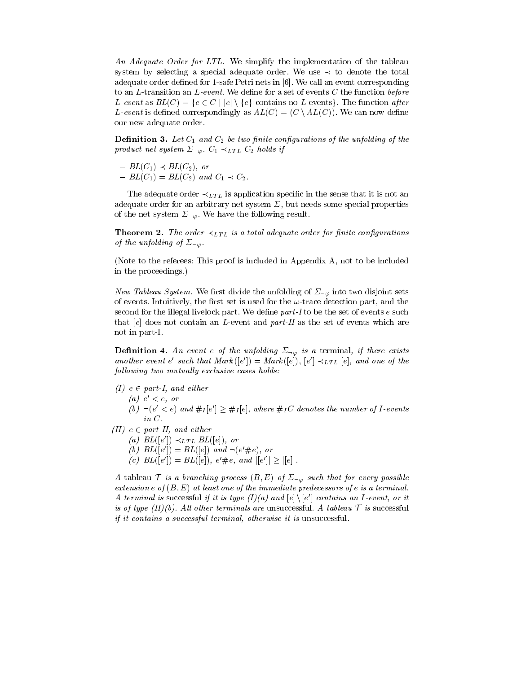An Adequate Order for LTL. We simplify the implementation of the tableau system by selecting a special adequate order. We use  $\prec$  to denote the total adequate order defined for 1-safe Petri nets in  $[6]$ . We call an event corresponding to an L-transition an L-event. We define for a set of events  $C$  the function before L-event as  $BL(C) = \{e \in C \mid [e] \setminus \{e\} \text{ contains no } L\text{-events}\}.$  The function after L-event is defined correspondingly as  $AL(C)=(C \setminus AL(C))$ . We can now define our new adequate order.

**Definition 3.** Let  $C_1$  and  $C_2$  be two finite configurations of the unfolding of the product net system  $\Sigma_{\neg\varphi}$ .  $C_1 \prec_{LTL} C_2$  holds if

 $-BL(C_1) \prec BL(C_2)$ , or  $-BL(C_1)= BL(C_2)$  and  $C_1 \prec C_2$ .

The adequate order  $\prec_{LT} L$  is application specific in the sense that it is not an adequate order for an arbitrary net system  $\Sigma$ , but needs some special properties of the net system  $\Sigma_{\neg\varphi}$ . We have the following result.

**Theorem 2.** The order  $\prec_{LTL}$  is a total adequate order for finite configurations of the unfolding of  $\Sigma_{\neg\varphi}$ .

(Note to the referees: This proof is included in Appendix A, not to be included in the proceedings.)

New Tableau System. We first divide the unfolding of  $\Sigma_{\neg \varphi}$  into two disjoint sets of events. Intuitively, the first set is used for the  $\omega$ -trace detection part, and the second for the illegal livelock part. We define part-I to be the set of events  $e$  such that  $[e]$  does not contain an *L*-event and *part-II* as the set of events which are not in part-I.

**Definition 4.** An event e of the unfolding  $\Sigma_{\neg\varphi}$  is a terminal, if there exists another event e such that  $\text{max}(|e|) = \text{max}(|e|)$ ,  $|e| \prec_{LTL} |e|$ , and one of the  $following two mutually exclusive cases holds:$ 

- $(I)$   $e \in part-I$ , and either
	- $(u)$   $e \leq e,$   $or$
	- (b)  $\Box$ (e  $\leq e$ ) and  $\#I|e| \geq \#I|e|$ , where  $\#I\cup$  denotes the number of 1-events in C.
- (II)  $e \in part-II$ , and either
	- (a)  $BL(|e|) \prec LTL$   $BL(|e|)$ , or
	- (0)  $BL(|e|) = BL(|e|)$  and  $\neg(e \neq e)$ , or
	- $|c\rangle$   $|DL| |e\rangle| = |DL| |e\rangle|$ ,  $e \neq e$ , and  $||e|| \geq ||e||$ .

A tableau T is a branching process  $(B, E)$  of  $\Sigma_{\neg \varphi}$  such that for every possible extension e of  $(B, E)$  at least one of the immediate predecessors of e is a terminal. A terminal is successful if it is type  $(1)/|a|$  and  $|e| \setminus |e|$  contains an I-event, or it is of type  $(II)(b)$ . All other terminals are unsuccessful. A tableau  $\mathcal T$  is successful if it contains a successful terminal, otherwise it is unsuccessful.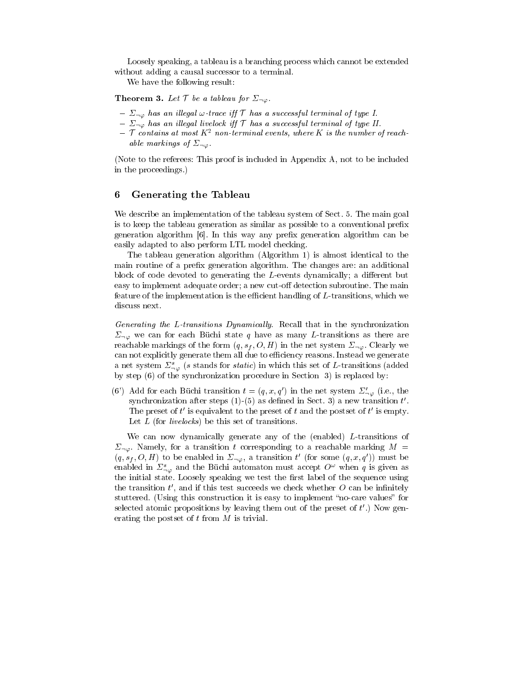Loosely speaking, a tableau is a branching process which cannot be extended without adding a causal successor to a terminal.

We have the following result:

**Theorem 3.** Let  $\mathcal{T}$  be a tableau for  $\Sigma_{\neg\varphi}$ .

- $\Sigma_{\neg \varphi}$  has an illegal  $\omega$ -trace iff  $\tau$  has a successful terminal of type I.
- $\Sigma_{\neg\varphi}$  has an illegal livelock iff  $\tau$  has a successful terminal of type II.
- $\mathcal T$  contains at most  $K^2$  non-terminal events, where K is the number of reachable markings of  $\Sigma_{\neg\varphi}$

(Note to the referees: This proof is included in Appendix A, not to be included in the proceedings.)

# 6 Generating the Tableau

We describe an implementation of the tableau system of Sect. 5. The main goal is to keep the tableau generation as similar as possible to a conventional prefix generation algorithm [6]. In this way any prefix generation algorithm can be easily adapted to also perform LTL model checking.

The tableau generation algorithm (Algorithm 1) is almost identical to the main routine of a prefix generation algorithm. The changes are: an additional block of code devoted to generating the  $L$ -events dynamically; a different but easy to implement adequate order; a new cut-off detection subroutine. The main feature of the implementation is the efficient handling of L-transitions, which we discuss next.

Generating the L-transitions Dynamically. Recall that in the synchronization  $\Sigma_{\neg \varphi}$  we can for each Büchi state q have as many L-transitions as there are reachable markings of the form  $(q, s_f, O, H)$  in the net system  $\Sigma_{\neg \varphi}$ . Clearly we can not explicitly generate them all due to efficiency reasons. Instead we generate a net system  $\sum_{-\infty}^s$  (s stands for *static*) in which this set of L-transitions (added by step (6) of the synchronization procedure in Section 3) is replaced by:

(6') Add for each Büchi transition  $t = (q, x, q')$  in the net system  $\Sigma'_{\neg \varphi}$  (i.e., the synchronization after steps  $(1)$ - $(3)$  as defined in Sect. 3) a new transition  $t$  . The preset of t is equivalent to the preset of t and the postset of t is empty. Let L (for *livelocks*) be this set of transitions.

We can now dynamically generate any of the (enabled) L-transitions of  $\Sigma_{\neg\varphi}$ . Namely, for a transition t corresponding to a reachable marking  $M =$  $(q,s_f,U,H)$  to be enabled in  $\Delta_{\neg\varphi}$ , a transition t (for some  $(q,x,q$ )) must be enabled in  $\Sigma^s_{\alpha\beta}$  and the Büchi automaton must accept  $O^{\omega}$  when q is given as the initial state. Loosely speaking we test the first label of the sequence using the transition  $\iota$ , and if this test succeeds we check whether  $\sigma$  can be infinitely stuttered. (Using this construction it is easy to implement "no-care values" for selected atomic propositions by leaving them out of the preset of  $t$  .) Now generating the postset of  $t$  from  $M$  is trivial.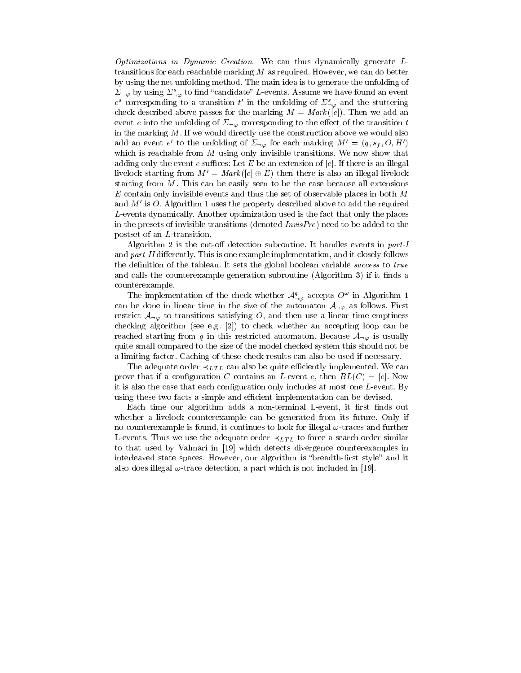Optimizations in Dynamic Creation. We can thus dynamically generate  $L$ transitions for each reachable marking  $M$  as required. However, we can do better by using the net unfolding method. The main idea is to generate the unfolding of  $\Sigma_{\neg\varphi}$  by using  $\Sigma^s_{\neg\varphi}$  to find "candidate" L-events. Assume we have found an event e corresponding to a transition t in the uniolding of  $\mathcal{Z}_{\neg \varphi}$  and the stuttering check described above passes for the marking  $M = Mark([e])$ . Then we add an event e into the unfolding of  $\Sigma_{\neg \varphi}$  corresponding to the effect of the transition t in the marking  $M$ . If we would directly use the construction above we would also add an event e to the unfolding of  $\mathcal{Z}_{\neg\varphi}$  for each marking  $M^{\neg} = (q, s_f, O, H^{\neg})$ which is reachable from  $M$  using only invisible transitions. We now show that adding only the event e suffices: Let E be an extension of [e]. If there is an illegal livelock starting from  $M' = Mark ( [e] \oplus E)$  then there is also an illegal livelock starting from  $M$ . This can be easily seen to be the case because all extensions  $E$  contain only invisible events and thus the set of observable places in both  $M$ and  $M'$  is O. Algorithm 1 uses the property described above to add the required L-events dynamically. Another optimization used is the fact that only the places in the presets of invisible transitions (denoted  $InvisPre$ ) need to be added to the postset of an L-transition.

Algorithm 2 is the cut-off detection subroutine. It handles events in  $part-I$ and part-II differently. This is one example implementation, and it closely follows the definition of the tableau. It sets the global boolean variable *success* to true and calls the counterexample generation subroutine (Algorithm 3) if it finds a counterexample.

The implementation of the check whether  $\mathcal{A}_{\gamma\varphi}^*$  accepts  $O^*$  in Algorithm 1 can be done in linear time in the size of the automaton  $A_{\neg\varphi}$  as follows. First restrict  $\mathcal{A}_{\neg\varphi}$  to transitions satisfying O, and then use a linear time emptiness checking algorithm (see e.g. [2]) to check whether an accepting loop can be reached starting from q in this restricted automaton. Because  $A_{\neg\varphi}$  is usually quite small compared to the size of the model checked system this should not be a limiting factor. Caching of these check results can also be used if necessary.

The adequate order  $\prec_{LTL}$  can also be quite efficiently implemented. We can prove that if a configuration C contains an L-event e, then  $BL(C)=[e]$ . Now it is also the case that each configuration only includes at most one  $L$ -event. By using these two facts a simple and efficient implementation can be devised.

Each time our algorithm adds a non-terminal L-event, it first finds out whether a livelock counterexample can be generated from its future. Only if no counterexample is found, it continues to look for illegal  $\omega$ -traces and further L-events. Thus we use the adequate order  $\prec_{LTL}$  to force a search order similar to that used by Valmari in [19] which detects divergence counterexamples in interleaved state spaces. However, our algorithm is "breadth-first style" and it also does illegal  $\omega$ -trace detection, a part which is not included in [19].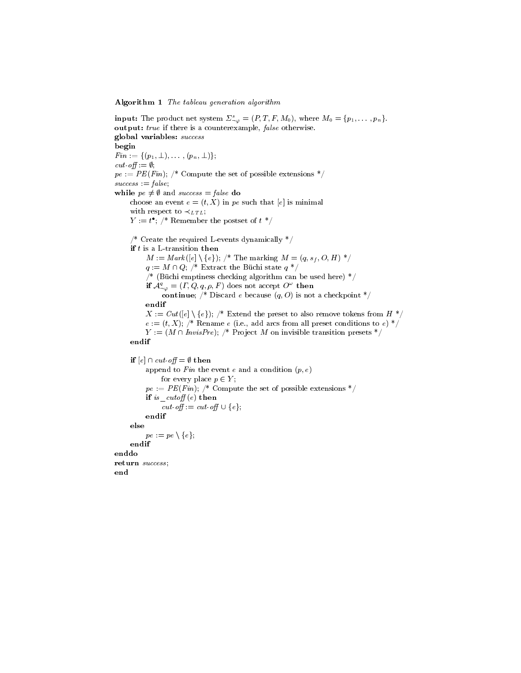Algorithm 1 The tableau generation algorithm

**input:** The product net system  $\Sigma^s_{\neg \varphi} = (P, T, F, M_0)$ , where  $M_0 = \{p_1, \ldots, p_n\}$ . output: true if there is a counterexample, false otherwise. global variables: success begin  $Fin := \{(p_1, \perp), \ldots, (p_n, \perp)\};$ cut-off :=  $\emptyset$ ;  $pe := PE(Fin);$  /\* Compute the set of possible extensions \*/  $success := false;$ while  $pe \neq \emptyset$  and success = false do choose an event  $e = (t, X)$  in pe such that  $[e]$  is minimal with respect to  $\prec_{LTL}$ ;  $Y := t$ ;  $\wedge$  Remember the postset of  $t$ /\* Create the required L-events dynamically \*/ if  $t$  is a L-transition then  $M := Mark([e] \setminus \{e\});$  /\* The marking  $M = (q, s_f, O, H)$  \*/  $q := M \cap Q$ ; /\* Extract the Büchi state  $q *$ /  $\frac{1}{2}$  (Büchi emptiness checking algorithm can be used here)  $\frac{1}{2}$ if  $A_{\neg \varphi}^{\pi} = (I, Q, q, \rho, F)$  does not accept  $O^{\pi}$  then continue; /\* Discard e because  $(q, 0)$  is not a checkpoint \*/ endif  $X := Cut([e] \setminus \{e\});$  /\* Extend the preset to also remove tokens from  $H^*$ /  $e := (t, X);$  /\* Rename  $e$  (i.e., add arcs from all preset conditions to  $e)$  \*/  $Y := (M \cap InvisPre);$  /\* Project M on invisible transition presets \*/ endif if  $[e] \cap cut \text{ of } f = \emptyset$  then append to Fin the event e and a condition  $(p, e)$ for every place  $p \in Y$ ;  $pe := PE(Fin);$  /\* Compute the set of possible extensions \*/ if is  $\textit{cutoff}(e)$  then cut-off := cut-off  $\cup$  {e}; endif else  $pe := pe \setminus \{e\};$ endif enddo return success;

end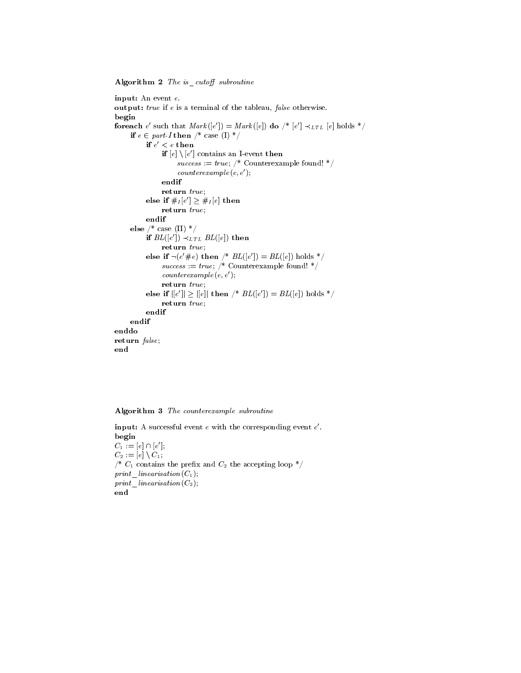Algorithm  $2$  The is cutoff subroutine

input: An event e. output: true if <sup>e</sup> is a terminal of the tableau, false otherwise. begin **for each** e such that  $Mark(|e|) = Mark(|e|)$  **do**  $\wedge^* |e| \prec_{LTL} |e|$  holds  $\vee$ if  $e \in part\text{-}I$  then  $\text{/}^*$  case (I)  $\text{/}^*$ if  $e \, < e$  then if  $|e| \setminus |e|$  contains an I-event then  $success := true;$  /\* Counterexample found! \*/  $counterexample(e, e');$ endif return true; else if  $\#I[e] \geq \#I[e]$  then return true; endif else /\* case (II) \*/ if  $BL(|e|) \prec_{LTL} BL(|e|)$  then return true; else if  $\neg(e \neq e)$  then  $\neg^*$  BL( $|e|$ ) = BL( $|e|$ ) holds  $\neg$  $success := true;$  /\* Counterexample found! \*/  $counterexample(e, e');$ return true; else if  $||e|| \ge ||e||$  then  $\wedge^*$   $BL(|e|) = BL(|e|)$  holds  $\wedge$ return true; endif endif enddo return false; end

Algorithm 3 The counterexample subroutine

 $\mathbf n$  put: A successful event  $e$  with the corresponding event  $e$  . begin  $C_1 := |e| \sqcup |e|;$  $C_2 := [e] \setminus C_1;$  $\mathcal{O}^*$  C<sub>1</sub> contains the prefix and  $C_2$  the accepting loop  $\mathcal{O}'$ print linearisation( $C_1$ );  $print\_linearisation(C_2);$ end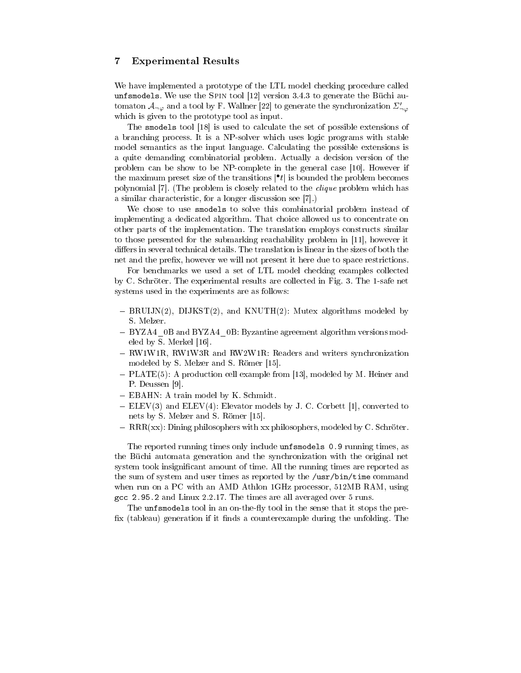# 7 Experimental Results

We have implemented a prototype of the LTL model checking procedure called unfsmodels. We use the Spin tool [12] version 3.4.3 to generate the Büchi automaton  $\mathcal{A}_{\neg\varphi}$  and a tool by F. Wallner [22] to generate the synchronization  $\Sigma'_{\neg\varphi}$ which is given to the prototype tool as input.

The smodels tool [18] is used to calculate the set of possible extensions of a branching process. It is a NP-solver which uses logic programs with stable model semantics as the input language. Calculating the possible extensions is a quite demanding combinatorial problem. Actually a decision version of the problem can be show to be NP-complete in the general case [10]. However if the maximum preset size of the transitions  $\mid t\mid$  is bounded the problem becomes polynomial [7]. (The problem is closely related to the clique problem which has a similar characteristic, for a longer discussion see [7].)

We chose to use smodels to solve this combinatorial problem instead of implementing a dedicated algorithm. That choice allowed us to concentrate on other parts of the implementation. The translation employs constructs similar to those presented for the submarking reachability problem in [11], however it differs in several technical details. The translation is linear in the sizes of both the net and the prefix, however we will not present it here due to space restrictions.

For benchmarks we used a set of LTL model checking examples collected by C. Schröter. The experimental results are collected in Fig. 3. The 1-safe net systems used in the experiments are as follows:

- $-BRUIJN(2)$ , DIJKST(2), and KNUTH(2): Mutex algorithms modeled by S. Melzer.
- BYZA4 0B and BYZA4 0B: Byzantine agreement algorithm versions modeled by S. Merkel [16].
- RW1W1R, RW1W3R and RW2W1R: Readers and writers synchronization modeled by S. Melzer and S. Römer [15].
- PLATE(5): A production cell example from [13], modeled by M. Heiner and P. Deussen [9].
- EBAHN: A train model by K. Schmidt.
- ELEV(3) and ELEV(4): Elevator models by J. C. Corbett [1], converted to nets by S. Melzer and S. Römer [15].
- $-RRR(xx)$ : Dining philosophers with xx philosophers, modeled by C. Schröter.

The reported running times only include unfsmodels 0.9 running times, as the Büchi automata generation and the synchronization with the original net system took insignificant amount of time. All the running times are reported as the sum of system and user times as reported by the /usr/bin/time command when run on a PC with an AMD Athlon 1GHz processor, 512MB RAM, using gcc 2.95.2 and Linux 2.2.17. The times are all averaged over 5 runs.

The unfsmodels tool in an on-the-fly tool in the sense that it stops the prefix (tableau) generation if it finds a counterexample during the unfolding. The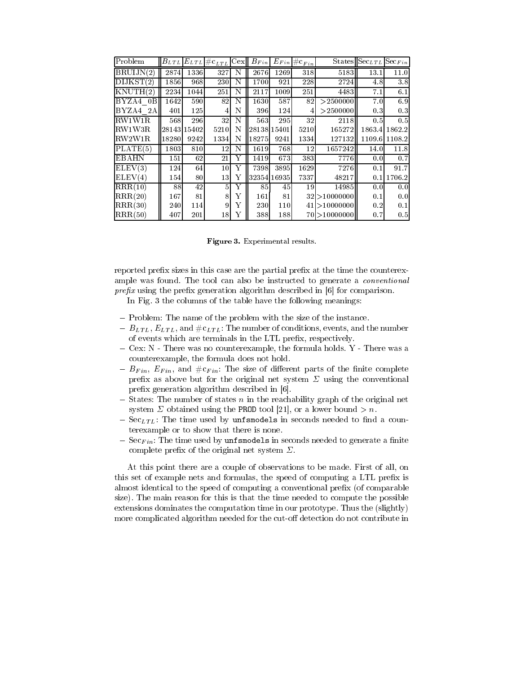| Problem      |             |            | $ B_{LTL} E_{LTL}  \#c_{LTL} C$ ex |   | $B_{Fin}$   |      | $E_{Fin}  \# \mathbf{c}_{Fin}  $ |                 | $\overline{\text{States}}$ Sec $_{LTL}$ | $\mathrm{Sec}_{Fin}$ |  |
|--------------|-------------|------------|------------------------------------|---|-------------|------|----------------------------------|-----------------|-----------------------------------------|----------------------|--|
| BRUIJN(2)    | 2874        | 1336       | 327                                | N | 2676        | 1269 | 318                              | 5183            | 13.1                                    | 11.0                 |  |
| DIJKST(2)    | 1856        | 968        | 230                                | N | 1700        | 921  | 228                              | 2724            | 4.8                                     | 3.8                  |  |
| KNUTH(2)     | 2234        | 10441      | 251                                | N | 2117        | 1009 | 251                              | 4483            | 7.1                                     | 6.1                  |  |
| BYZA4 0B     | 1642        | 590        | 82                                 | N | 1630        | 587  | 82                               | > 2500000       | 7.0                                     | 6.9                  |  |
| BYZA4 2A     | 401         | <b>125</b> | 4                                  | N | 396         | 124  | 4                                | > 2500000       | 0.3                                     | 0.3                  |  |
| RW1W1R       | 568         | 296        | 32                                 | N | 563         | 295  | 32                               | 2118            | 0.5                                     | 0.5                  |  |
| RW1W3R       | 28143154021 |            | 5210                               | N | 28138 15401 |      | 5210                             | 165272          |                                         | 1863.4   1862.2      |  |
| RW2W1R       | 18280       | 9242       | 1334                               | N | 18275       | 9241 | 1334                             | 127132          |                                         | 1109.6 1108.2        |  |
| PLATE(5)     | 1803        | 810        | 12                                 | N | 16191       | 768  | 12                               | 1657242         | 14.0                                    | 11.8                 |  |
| <b>EBAHN</b> | 151I        | 62         | 21                                 | Y | 1419        | 673  | 383                              | 7776            | 0.0                                     | 0.7                  |  |
| ELEV(3)      | 124         | 64         | 10 <sup>1</sup>                    | Y | 7398        | 3895 | 1629                             | 7276            | 0.1                                     | 91.7                 |  |
| ELEV(4)      | 154I        | 80         | 13                                 | Y | 32354 16935 |      | 7337                             | 48217           | 0.1                                     | 1706.2               |  |
| RRR(10)      | 88          | 42         | 5                                  | Y | 85          | 45   | 19                               | 14985           | 0.0                                     | 0.0                  |  |
| RRR(20)      | 167         | 81         | 8                                  | Y | 161         | 81   |                                  | $32$  >10000000 | 0.1                                     | 0.0                  |  |
| RRR(30)      | 2401        | 114        | 9                                  | Y | 230         | 110  |                                  | 41 > 10000000   | 0.2                                     | 0.1                  |  |
| RRR(50)      | 407         | 201        | 18                                 | Υ | 388         | 188  |                                  | $70$  >1000000  | 0.7                                     | 0.5                  |  |

Figure 3. Experimental results.

reported prefix sizes in this case are the partial prefix at the time the counterexample was found. The tool can also be instructed to generate a conventional prefix using the prefix generation algorithm described in  $[6]$  for comparison.

In Fig. 3 the columns of the table have the following meanings:

- Problem: The name of the problem with the size of the instance.
- $B_{LTL}$ ,  $E_{LTL}$ , and  $\#c_{LTL}$ : The number of conditions, events, and the number of events which are terminals in the LTL prefix, respectively.
- $-Cex: N$  There was no counterexample, the formula holds. Y There was a counterexample, the formula does not hold.
- $-B_{Fin}$ ,  $E_{Fin}$ , and  $\#c_{Fin}$ : The size of different parts of the finite complete prefix as above but for the original net system  $\Sigma$  using the conventional prefix generation algorithm described in [6].
- $-$  States: The number of states n in the reachability graph of the original net system  $\Sigma$  obtained using the PROD tool [21], or a lower bound  $> n$ .
- $S = \text{Sec}_{LTL}$ : The time used by unfsmodels in seconds needed to find a counterexample or to show that there is none.
- $S = \text{Sec}_{Fin}$ : The time used by unfismodels in seconds needed to generate a finite complete prefix of the original net system  $\Sigma$ .

At this point there are a couple of observations to be made. First of all, on this set of example nets and formulas, the speed of computing a LTL prefix is almost identical to the speed of computing a conventional prefix (of comparable size). The main reason for this is that the time needed to compute the possible extensions dominates the computation time in our prototype. Thus the (slightly) more complicated algorithm needed for the cut-off detection do not contribute in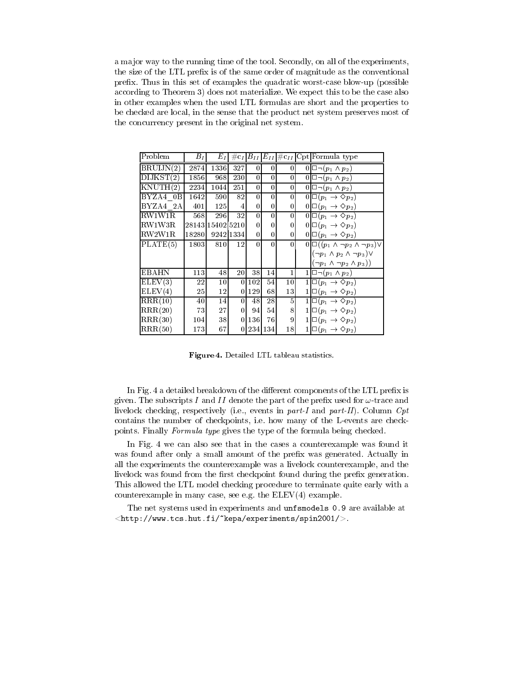a major way to the running time of the tool. Secondly, on all of the experiments, the size of the LTL prefix is of the same order of magnitude as the conventional prefix. Thus in this set of examples the quadratic worst-case blow-up (possible according to Theorem 3) does not materialize. We expect this to be the case also in other examples when the used LTL formulas are short and the properties to be checked are local, in the sense that the product net system preserves most of the concurrency present in the original net system.

| Problem   | $B_I$ | $E_I$            |                 |          |          |          | $\#c_I B_{II} E_{II}  \#c_{II} Cpt $ Formula type  |
|-----------|-------|------------------|-----------------|----------|----------|----------|----------------------------------------------------|
| BRUIJN(2) | 2874  | 1336             | 327             | $\Omega$ | 0        | $\theta$ | $0\Box \neg (p_1 \wedge p_2)$                      |
| DIJKST(2) | 1856  | 968              | 230I            | 0        | $\Omega$ | $\theta$ | $0\Box \neg (p_1 \wedge p_2)$                      |
| KNUTH(2)  | 2234  | 1044             | 251             | 0        | 0        | 0        | $0\Box \neg (p_1 \wedge p_2)$                      |
| BYZA4 0B  | 1642  | 590              | 82              | $\theta$ | 0        | $\theta$ | $0 \Box(p_1\rightarrow \Diamond p_2)$              |
| BYZA4 2A  | 401   | <b>125</b>       | 4               | 0        | 0        | 0        | $0 \Box(p_1\rightarrow \Diamond p_2)$              |
| RW1W1R    | 568   | 296              | 32              | 0        | 0        | 0        | $0 \Box(p_1\rightarrow \Diamond p_2)$              |
| RW1W3R    |       | 2814311540215210 |                 | 0        | 0        | $\Omega$ | $0 \Box(p_1\rightarrow \Diamond p_2)$              |
| RW2W1R    | 18280 |                  | 9242 1334       | $\theta$ | 0        | 0        | $0 \Box(p_1\rightarrow \Diamond p_2)$              |
| PLATE(5)  | 1803  | 810              | 12              | 0        | $\Omega$ | 0        | $0 \Box((p_1 \wedge \neg p_2 \wedge \neg p_3)\vee$ |
|           |       |                  |                 |          |          |          | $(\neg p_1 \land p_2 \land \neg p_3) \lor$         |
|           |       |                  |                 |          |          |          | $(\neg p_1 \land \neg p_2 \land p_3))$             |
| EBAHN     | 113   | 48               | 20 <sup>1</sup> | 38       | 14       | 1        | $1\Box \neg (p_1 \wedge p_2)$                      |
| ELEV(3)   | 22    | $10\,$           | $\Omega$        | 102      | 54       | $10\,$   | $1 \Box(p_1\rightarrow \Diamond p_2)$              |
| ELEV(4)   | 25    | 12               | $\theta$        | 129      | 68       | 13       | $1 \Box(p_1\rightarrow \Diamond p_2)$              |
| RRR(10)   | 40    | 14               | 0               | 48       | 28       | 5        | $1 \Box(p_1\rightarrow \Diamond p_2)$              |
| RRR(20)   | 73    | 27               | 0               | 94       | 54       | 8        | $1 \Box(p_1\rightarrow \Diamond p_2)$              |
| RRR(30)   | 1041  | 38               | 0               | 136      | 76       | 9        | $1 \Box(p_1\rightarrow \Diamond p_2)$              |
| RRR(50)   | 173   | 67               | 0               |          | 234 134  | 18       | $1 \Box(p_1 \rightarrow \Diamond p_2)$             |

Figure 4. Detailed LTL tableau statistics.

In Fig. 4 a detailed breakdown of the different components of the LTL prefix is given. The subscripts I and II denote the part of the prefix used for  $\omega$ -trace and livelock checking, respectively (i.e., events in part-I and part-II). Column Cpt contains the number of checkpoints, i.e. how many of the L-events are checkpoints. Finally Formula type gives the type of the formula being checked.

In Fig. 4 we can also see that in the cases a counterexample was found it was found after only a small amount of the prefix was generated. Actually in all the experiments the counterexample was a livelock counterexample, and the livelock was found from the first checkpoint found during the prefix generation. This allowed the LTL model checking procedure to terminate quite early with a counterexample in many case, see e.g. the ELEV(4) example.

The net systems used in experiments and unfsmodels 0.9 are available at  $\langle$ http://www.tcs.hut.fi/~kepa/experiments/spin2001/ $>$ .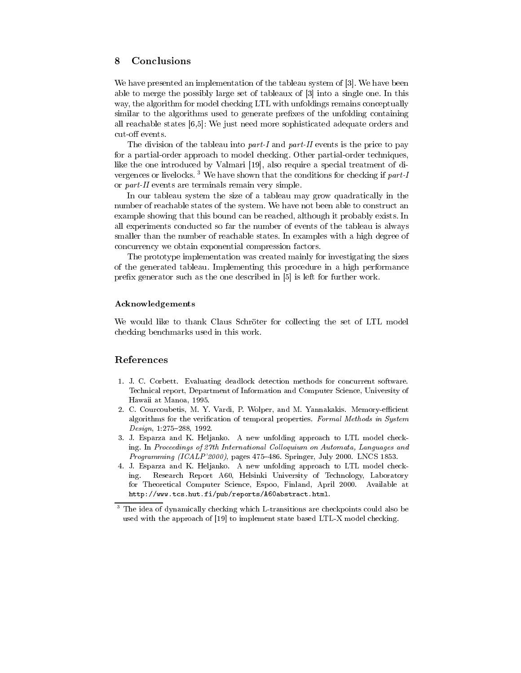# 8 Conclusions

We have presented an implementation of the tableau system of [3]. We have been able to merge the possibly large set of tableaux of [3] into a single one. In this way, the algorithm for model checking LTL with unfoldings remains conceptually similar to the algorithms used to generate prefixes of the unfolding containing all reachable states [6,5]: We just need more sophisticated adequate orders and cut-off events.

The division of the tableau into part-I and part-II events is the price to pay for a partial-order approach to model checking. Other partial-order techniques, like the one introduced by Valmari [19], also require a special treatment of di vergences or livelocks.<sup>3</sup> We have shown that the conditions for checking if  $part-I$ or part-II events are terminals remain very simple.

In our tableau system the size of a tableau may grow quadratically in the number of reachable states of the system. We have not been able to construct an example showing that this bound can be reached, although it probably exists. In all experiments conducted so far the number of events of the tableau is always smaller than the number of reachable states. In examples with a high degree of concurrency we obtain exponential compression factors.

The prototype implementation was created mainly for investigating the sizes of the generated tableau. Implementing this procedure in a high performance prefix generator such as the one described in [5] is left for further work.

### Acknowledgements

We would like to thank Claus Schröter for collecting the set of LTL model checking benchmarks used in this work.

# References

- 1. J. C. Corbett. Evaluating deadlock detection methods for concurrent software. Technical report, Department of Information and Computer Science, University of Hawaii at Manoa, 1995.
- 2. C. Courcoubetis, M. Y. Vardi, P. Wolper, and M. Yannakakis. Memory-efficient algorithms for the verification of temporal properties. Formal Methods in System Design, 1:275-288, 1992.
- 3. J. Esparza and K. Heljanko. A new unfolding approach to LTL model checking. In Proceedings of 27th International Colloquium on Automata, Languages and Programming (ICALP'2000), pages 475-486. Springer, July 2000. LNCS 1853.
- 4. J. Esparza and K. Heljanko. A new unfolding approach to LTL model checking. Research Report A60, Helsinki University of Technology, Laboratory for Theoretical Computer Science, Espoo, Finland, April 2000. Available at http://www.tcs.hut.fi/pub/reports/A60abstract.html.

<sup>3</sup> The idea of dynamically checking which L-transitions are checkpoints could also be used with the approach of [19] to implement state based LTL-X model checking.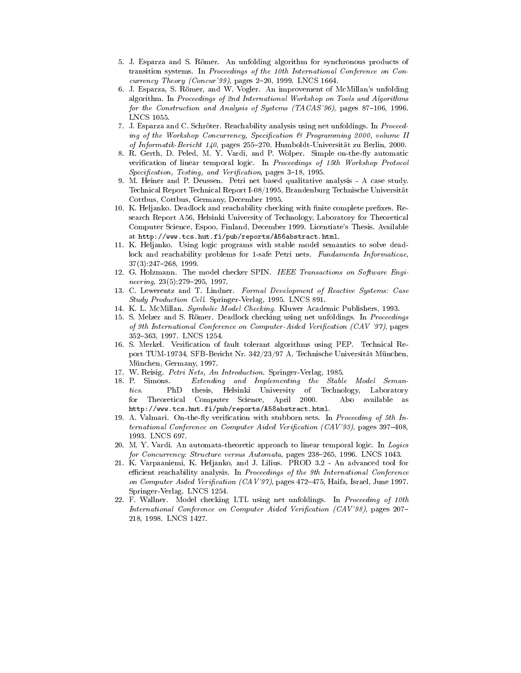- 5. J. Esparza and S. Römer. An unfolding algorithm for synchronous products of transition systems. In Proceedings of the 10th International Conference on Con currency Theory (Concur'99), pages  $2-20$ , 1999. LNCS 1664.
- 6. J. Esparza, S. Römer, and W. Vogler. An improvement of McMillan's unfolding algorithm. In Proceedings of 2nd International Workshop on Tools and Algorithms for the Construction and Analysis of Systems  $(TACAS'96)$ , pages 87-106, 1996. LNCS 1055.
- 7. J. Esparza and C. Schröter. Reachability analysis using net unfoldings. In Proceeding of the Workshop Concurrency, Specification & Programming 2000, volume II of Informatik-Bericht 140, pages 255-270. Humboldt-Universität zu Berlin, 2000.
- 8. R. Gerth, D. Peled, M. Y. Vardi, and P. Wolper. Simple on-the-fly automatic verification of linear temporal logic. In Proceedings of 15th Workshop Protocol Specification, Testing, and Verification, pages 3-18, 1995.
- 9. M. Heiner and P. Deussen. Petri net based qualitative analysis A case study. Technical Report Technical Report I-08/1995, Brandenburg Technische Universität Cottbus, Cottbus, Germany, December 1995.
- 10. K. Heljanko. Deadlock and reachability checking with finite complete prefixes. Research Report A56, Helsinki University of Technology, Laboratory for Theoretical Computer Science, Espoo, Finland, December 1999. Licentiate's Thesis. Available at http://www.tcs.hut.fi/pub/reports/A56abstract.html.
- 11. K. Heljanko. Using logic programs with stable model semantics to solve deadlock and reachability problems for 1-safe Petri nets. Fundamenta Informaticae,  $37(3):247-268$ , 1999.
- 12. G. Holzmann. The model checker SPIN. IEEE Transactions on Software Engi neering,  $23(5):279-295$ , 1997.
- 13. C. Lewerentz and T. Lindner. Formal Development of Reactive Systems: Case Study Production Cell. Springer-Verlag, 1995. LNCS 891.
- 14. K. L. McMillan. Symbolic Model Checking. Kluwer Academic Publishers, 1993.
- 15. S. Melzer and S. Römer. Deadlock checking using net unfoldings. In Proceedings of 9th International Conference on Computer-Aided Verification (CAV '97), pages 352-363, 1997. LNCS 1254.
- 16. S. Merkel. Verification of fault tolerant algorithms using PEP. Technical Report TUM-19734, SFB-Bericht Nr. 342/23/97 A, Technische Universität München, München, Germany, 1997.
- 17. W. Reisig. Petri Nets, An Introduction. Springer-Verlag, 1985.
- 18. P. Simons. Extending and Implementing the Stable Model Seman $tics$ . PhD thesis, Helsinki University of Technology, Laboratory for Theoretical Computer Science, April 2000. Also available as http://www.tcs.hut.fi/pub/reports/A58abstract.html.
- 19. A. Valmari. On-the-fly verification with stubborn sets. In Proceeding of 5th International Conference on Computer Aided Verification  $(CAV'93)$ , pages 397-408, 1993. LNCS 697.
- 20. M. Y. Vardi. An automata-theoretic approach to linear temporal logic. In Logics for Concurrency: Structure versus Automata, pages 238-265, 1996. LNCS 1043.
- 21. K. Varpaaniemi, K. Heljanko, and J. Lilius. PROD 3.2 An advanced tool for efficient reachability analysis. In Proceedings of the 9th International Conference on Computer Aided Verification (CAV'97), pages  $472-475$ , Haifa, Israel, June 1997. Springer-Verlag. LNCS 1254.
- 22. F. Wallner. Model checking LTL using net unfoldings. In Proceeding of 10th International Conference on Computer Aided Verification  $(CAV'98)$ , pages 207-218, 1998. LNCS 1427.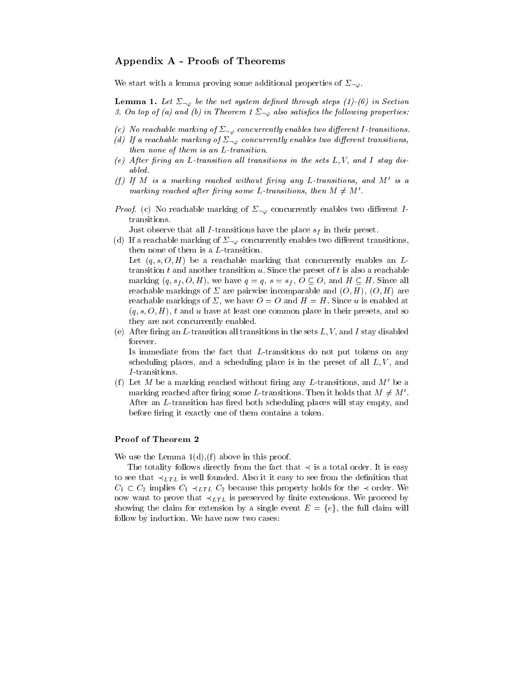# Appendix A - Proofs of Theorems

We start with a lemma proving some additional properties of  $\Sigma_{\neg \varphi}$ .

**Lemma 1.** Let  $\Sigma_{\neg\varphi}$  be the net system defined through steps (1)-(6) in Section 3. On top of (a) and (b) in Theorem 1  $\Sigma_{\neg\varphi}$  also satisfies the following properties.

- (c) No reachable marking of  $\Sigma_{\neg\varphi}$  concurrently enables two different I-transitions.
- (d) If a reachable marking of  $\Sigma_{\neg\varphi}$  concurrently enables two different transitions, then none of them is an L-transition.
- (e) After firing an L-transition all transitions in the sets  $L, V$ , and I stay disabled.
- (f) If M is a marking reached without firing any L-transitions, and M' is a marking reached after firing some L-transitions, then  $M \neq M'$ .
- *Proof.* (c) No reachable marking of  $\Sigma_{\neg \varphi}$  concurrently enables two different Itransitions.

Just observe that all I-transitions have the place  $s_f$  in their preset.

(d) If a reachable marking of  $\Sigma_{\neg \varphi}$  concurrently enables two different transitions, then none of them is a L-transition.

Let  $(q, s, O, H)$  be a reachable marking that concurrently enables an Ltransition  $t$  and another transition  $u$ . Since the preset of  $t$  is also a reachable marking  $(q, s_f, O, H)$ , we have  $q = q$ ,  $s = s_f$ ,  $O \subseteq O$ , and  $H \subseteq H$ . Since all reachable markings of  $\Sigma$  are pairwise incomparable and  $(O, H)$ ,  $(O, H)$  are reachable markings of  $\Sigma$ , we have  $O = O$  and  $H = H$ . Since u is enabled at  $(q, s, O, H)$ , t and u have at least one common place in their presets, and so they are not concurrently enabled.

(e) After firing an L-transition all transitions in the sets  $L, V$ , and I stay disabled forever.

Is immediate from the fact that L-transitions do not put tokens on any scheduling places, and a scheduling place is in the preset of all  $L, V$ , and I -transitions.

(f) Let M be a marking reached without firing any L-transitions, and  $M'$  be a marking reached after firing some L-transitions. Then it holds that  $M \neq M'$ . After an L-transition has fired both scheduling places will stay empty, and before firing it exactly one of them contains a token.

### Proof of Theorem 2

We use the Lemma  $1(d)$ , (f) above in this proof.

The totality follows directly from the fact that  $\prec$  is a total order. It is easy to see that  $\prec_{LTL}$  is well founded. Also it it easy to see from the definition that  $C_1 \subset C_2$  implies  $C_1 \prec_{LTL} C_2$  because this property holds for the  $\prec$  order. We now want to prove that  $\prec_{LTL}$  is preserved by finite extensions. We proceed by showing the claim for extension by a single event  $E = \{e\}$ , the full claim will follow by induction. We have now two cases: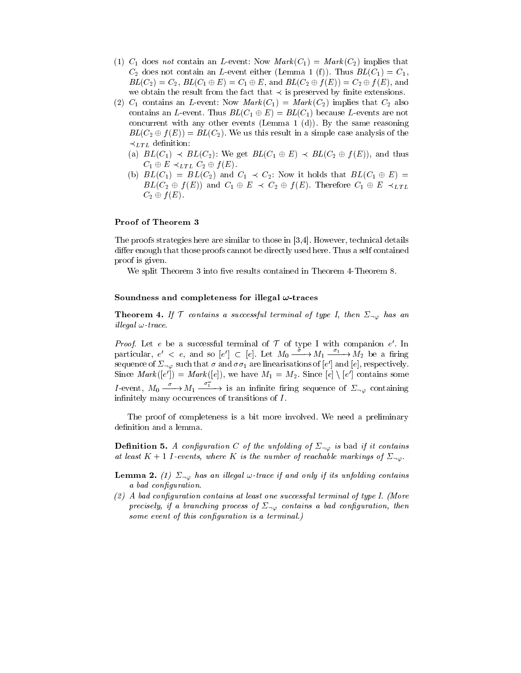- (1)  $C_1$  does not contain an L-event: Now  $Mark(C_1) = Mark(C_2)$  implies that  $C_2$  does not contain an *L*-event either (Lemma 1 (f)). Thus  $BL(C_1)=C_1$ ,  $BL(C_2) = C_2$ ,  $BL(C_1 \oplus E) = C_1 \oplus E$ , and  $BL(C_2 \oplus f(E)) = C_2 \oplus f(E)$ , and we obtain the result from the fact that  $\prec$  is preserved by finite extensions.
- (2)  $C_1$  contains an L-event: Now  $Mark(C_1) = Mark(C_2)$  implies that  $C_2$  also contains an L-event. Thus  $BL(C_1 \oplus E) = BL(C_1)$  because L-events are not concurrent with any other events (Lemma 1 (d)). By the same reasoning  $BL(C_2 \oplus f(E)) = BL(C_2)$ . We us this result in a simple case analysis of the  $\prec_{LTL}$  definition:
	- (a)  $BL(C_1) \prec BL(C_2)$ : We get  $BL(C_1 \oplus E) \prec BL(C_2 \oplus f(E))$ , and thus  $C_1 \oplus E \prec_{LTL} C_2 \oplus f(E).$
	- (b)  $BL(C_1) = BL(C_2)$  and  $C_1 \prec C_2$ : Now it holds that  $BL(C_1 \oplus E)$  $BL(C_2 \oplus f(E))$  and  $C_1 \oplus E \prec C_2 \oplus f(E)$ . Therefore  $C_1 \oplus E \prec_{LTL}$  $C_2 \oplus f(E)$ .

### Proof of Theorem 3

The proofs strategies here are similar to those in [3,4]. However, technical details differ enough that those proofs cannot be directly used here. Thus a self contained proof is given.

We split Theorem 3 into five results contained in Theorem 4-Theorem 8.

#### Soundness and completeness for illegal  $\omega$ -traces

**Theorem 4.** If  $\mathcal T$  contains a successful terminal of type I, then  $\Sigma_{\neg \varphi}$  has an illegal  $\omega$ -trace.

Proof. Let e be a successful terminal of <sup>T</sup> of type I with companion e . In *Proof.* Let e be a successful terminal of  $\mathcal T$  of type I with companion e'. In particular,  $e' < e$ , and so  $|e'| \subset |e|$ . Let  $M_0 \longrightarrow M_1 \longrightarrow M_2$  be a firing sequence or  $\mathcal{Z}_{\neg\varphi}$  such that  $\sigma$  and  $\sigma\sigma_1$  are linearisations or  $[e]$  and  $[e]$ , respectively. Since  $\text{max}(|e|) = \text{max}(|e|)$ , we have  $M_1 = M_2$ . Since  $|e| \setminus |e|$  contains some *I*-event,  $M_0 \xrightarrow{\sigma} M_1 \xrightarrow{\sigma_1^+}$  is an infinite firing sequence of  $\Sigma_{\neg \varphi}$  containing infinitely many occurrences of transitions of  $I$ .

The proof of completeness is a bit more involved. We need a preliminary definition and a lemma.

**Definition 5.** A configuration C of the unfolding of  $\Sigma_{\neg \varphi}$  is bad if it contains at least  $K + 1$  I-events, where K is the number of reachable markings of  $\Sigma_{\neg \varphi}$ .

- **Lemma 2.** (1)  $\Sigma_{\neg\varphi}$  has an illegal  $\varphi$ -trace if and only if its unfolding contains a bad configuration.
- $(2)$  A bad configuration contains at least one successful terminal of type I. (More precisely, if a branching process of  $\Sigma_{\neg \varphi}$  contains a bad configuration, then some event of this configuration is a terminal.)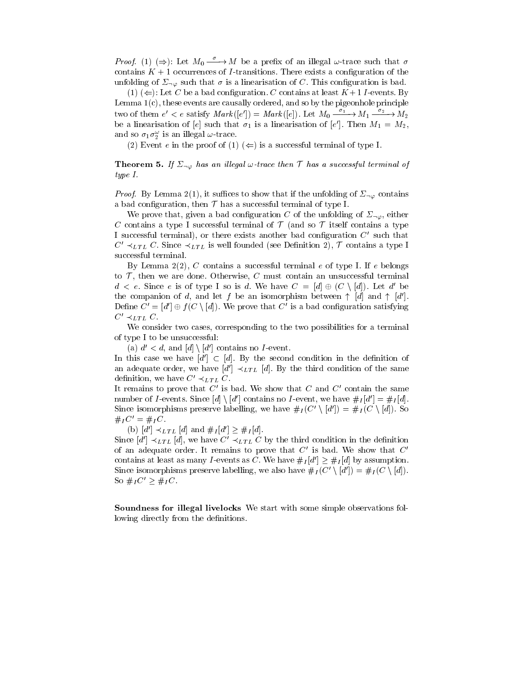*Proof.* (1)  $(\Rightarrow)$ : Let  $M_0 \xrightarrow{\sigma} M$  be a prefix of an illegal  $\omega$ -trace such that  $\sigma$ contains  $K + 1$  occurrences of *I*-transitions. There exists a configuration of the unfolding of  $\Sigma_{\neg \varphi}$  such that  $\sigma$  is a linearisation of C. This configuration is bad.

(1) ( $\Leftarrow$ ): Let C be a bad configuration. C contains at least  $K+1$  I-events. By Lemma 1(c), these events are causally ordered, and so by the pigeonhole principle two of them  $e' < e$  satisfy  $Mark(|e|) = Mark(|e|)$ . Let  $M_0 \xrightarrow{e} M_1 \xrightarrow{e} M_2$ be a linearisation of [e] such that  $\sigma_1$  is a linearisation of [e]. Then  $m_1 = m_2$ , and so  $\sigma_1 \sigma_2$  is an illegal  $\omega$ -trace.

(2) Event e in the proof of (1)  $(\Leftarrow)$  is a successful terminal of type I.

**Theorem 5.** If  $\Sigma_{\neg \varphi}$  has an illegal  $\varphi$ -trace then  $\tau$  has a successful terminal of type I.

*Proof.* By Lemma 2(1), it suffices to show that if the unfolding of  $\Sigma_{\neg\varphi}$  contains a bad configuration, then  $\mathcal T$  has a successful terminal of type I.

We prove that, given a bad configuration C of the unfolding of  $\Sigma_{\neg\varphi}$ , either C contains a type I successful terminal of  $\mathcal T$  (and so  $\mathcal T$  itself contains a type I successful terminal), or there exists another bad configuration  $C'$  such that  $C' \prec_{LTL} C$ . Since  $\prec_{LTL}$  is well founded (see Definition 2), T contains a type I successful terminal.

By Lemma  $2(2)$ , C contains a successful terminal e of type I. If e belongs to  $\mathcal{T}$ , then we are done. Otherwise, C must contain an unsuccessful terminal  $d \leq e$ . Since e is of type I so is d. We have  $C = [d] \oplus (C \setminus [d])$ . Let d' be the companion of d, and let f be an isomorphism between  $\uparrow$  [d] and  $\uparrow$  [d']. Define  $C' = [d'] \oplus f(C \setminus [d])$ . We prove that C' is a bad configuration satisfying  $C' \prec_{LTL} C$ .

We consider two cases, corresponding to the two possibilities for a terminal of type I to be unsuccessful:

(a)  $d' < d$ , and  $[d] \setminus [d']$  contains no *I*-event.

In this case we have  $[d'] \subset [d]$ . By the second condition in the definition of an adequate order, we have  $[d'] \prec_{LTL} [d]$ . By the third condition of the same definition, we have  $C' \prec_{LTL} C$ .

It remains to prove that  $C'$  is bad. We show that  $C$  and  $C'$  contain the same number of *I*-events. Since  $[d] \setminus [d']$  contains no *I*-event, we have  $\#_I [d'] = \#_I [d]$ . Since isomorphisms preserve labelling, we have  $\#_I (C' \setminus [d']) = \#_I (C \setminus [d])$ . So  $#_IC' = #_IC.$ 

(b)  $[d'] \prec_{LTL} [d]$  and  $\#_I [d'] \geq \#_I [d]$ .

Since  $[d'] \prec_{LTL} [d]$ , we have  $C' \prec_{LTL} C$  by the third condition in the definition of an adequate order. It remains to prove that  $C'$  is bad. We show that  $C'$ contains at least as many *I*-events as *C*. We have  $\#_I[d'] \ge \#_I[d]$  by assumption. Since isomorphisms preserve labelling, we also have  $\#_I(C' \setminus [d']) = \#_I(C \setminus [d])$ . So  $\#_IC' \geq \#_IC$ .

Soundness for illegal livelocks We start with some simple observations following directly from the definitions.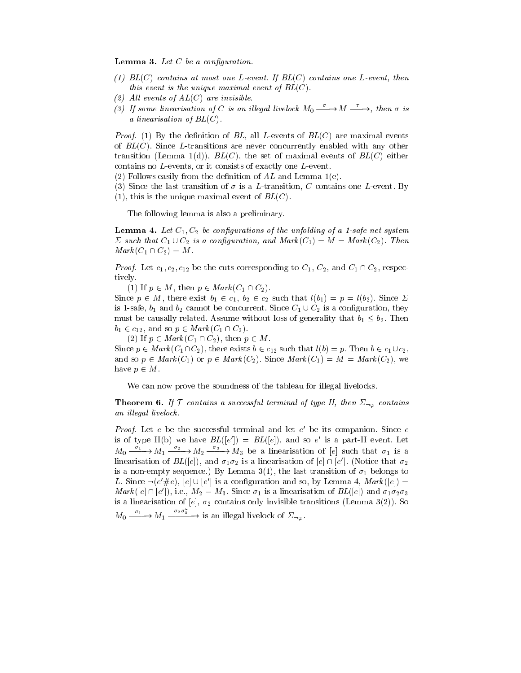**Lemma 3.** Let  $C$  be a configuration.

- (1)  $BL(C)$  contains at most one L-event. If  $BL(C)$  contains one L-event, then this event is the unique maximal event of  $BL(C)$ .
- (2) All events of  $AL(C)$  are invisible.
- (3) If some linearisation of C is an illegal livelock  $M_0 \xrightarrow{\sigma} M \xrightarrow{\tau}$ , then  $\sigma$  is a linearisation of  $BL(C)$ .

*Proof.* (1) By the definition of BL, all L-events of  $BL(C)$  are maximal events of  $BL(C)$ . Since L-transitions are never concurrently enabled with any other transition (Lemma 1(d)),  $BL(C)$ , the set of maximal events of  $BL(C)$  either contains no L-events, or it consists of exactly one L-event.

(2) Follows easily from the definition of  $AL$  and Lemma 1(e).

- (3) Since the last transition of  $\sigma$  is a L-transition, C contains one L-event. By
- (1), this is the unique maximal event of  $BL(C)$ .

The following lemma is also a preliminary.

**Lemma 4.** Let  $C_1, C_2$  be configurations of the unfolding of a 1-safe net system  $\sum$  such that  $C_1 \cup C_2$  is a configuration, and  $Mark(C_1)=M = Mark(C_2)$ . Then  $Mark(C_1 \cap C_2)=M$ .

*Proof.* Let  $c_1, c_2, c_{12}$  be the cuts corresponding to  $C_1$ ,  $C_2$ , and  $C_1 \cap C_2$ , respectively.

(1) If  $p \in M$ , then  $p \in Mark(C_1 \cap C_2)$ .

Since  $p \in M$ , there exist  $b_1 \in c_1$ ,  $b_2 \in c_2$  such that  $l(b_1)= p = l(b_2)$ . Since  $\Sigma$ is 1-safe,  $b_1$  and  $b_2$  cannot be concurrent. Since  $C_1 \cup C_2$  is a configuration, they must be causally related. Assume without loss of generality that  $b_1 \leq b_2$ . Then  $b_1 \in c_{12}$ , and so  $p \in Mark(C_1 \cap C_2)$ .

(2) If  $p \in Mark(C_1 \cap C_2)$ , then  $p \in M$ .

Since  $p \in Mark(C_1 \cap C_2)$ , there exists  $b \in c_{12}$  such that  $l(b) = p$ . Then  $b \in c_1 \cup c_2$ , and so  $p \in Mark(C_1)$  or  $p \in Mark(C_2)$ . Since  $Mark(C_1)=M = Mark(C_2)$ , we have  $p \in M$ .

We can now prove the soundness of the tableau for illegal livelocks.

**Theorem 6.** If  $\mathcal{T}$  contains a successful terminal of type II, then  $\Sigma_{\neg \varphi}$  contains an illegal livelock.

 $17700$ . Let  $e$  be the successful terminal and let  $e$  be its companion. Since  $e$ is of type  $I(\rho)$  we have  $BL(|e|) = BL(|e|)$ , and so e is a part-II event. Let  $M_0 \xrightarrow{\sigma_1} M_1 \xrightarrow{\sigma_2} M_2 \xrightarrow{\sigma_3} M_3$  be a linearisation of [e] such that  $\sigma_1$  is a imearisation of  $BL(|e|)$ , and  $\sigma_1\sigma_2$  is a linearisation of  $|e| \cap |e|$  . (Notice that  $\sigma_2$ is a non-empty sequence.) By Lemma 3(1), the last transition of  $\sigma_1$  belongs to L. Since  $\neg(e \neq e)$ ,  $[e] \cup [e]$  is a configuration and so, by Lemma 4, Mark ( $[e]$ ) =  $Mark(|e|+|e|), \text{ i.e., } M_2 = M_3.$  Since  $\sigma_1$  is a linearisation of  $BL(|e|)$  and  $\sigma_1 \sigma_2 \sigma_3$ is a linearisation of [e],  $\sigma_2$  contains only invisible transitions (Lemma 3(2)). So  $M_0 \xrightarrow{\sigma_1} M_1 \xrightarrow{\sigma_2 \sigma_3}$  is an illegal livelock of  $\Sigma_{\neg \varphi}$ .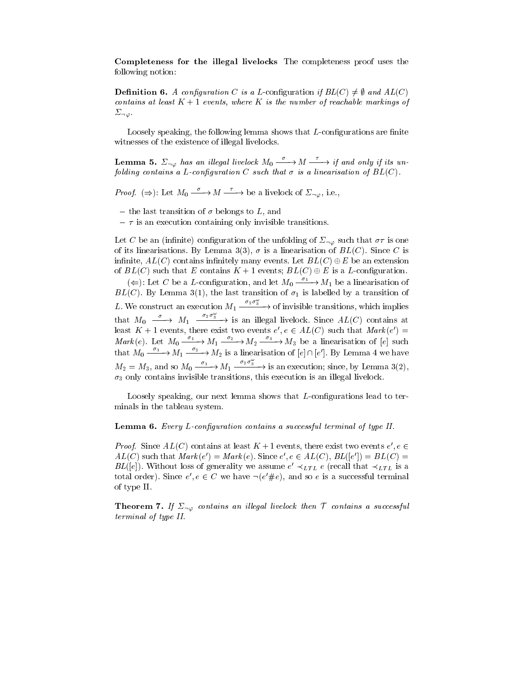Completeness for the illegal livelocks The completeness proof uses the following notion:

**Definition 6.** A configuration C is a L-configuration if  $BL(C) \neq \emptyset$  and  $AL(C)$ contains at least  $K + 1$  events, where K is the number of reachable markings of  $\Sigma_{\neg\varphi}$ .<br>Loosely speaking, the following lemma shows that L-configurations are finite

witnesses of the existence of illegal livelocks.

**Lemma 5.**  $\Sigma_{\neg\varphi}$  has an illegal livelock  $M_0 \xrightarrow{\sigma} M \xrightarrow{\tau}$  if and only if its unfolding contains a L-configuration C such that  $\sigma$  is a linearisation of  $BL(C)$ .

*Proof.*  $(\Rightarrow)$ : Let  $M_0 \xrightarrow{\sigma} M \xrightarrow{\tau}$  be a livelock of  $\Sigma_{\neg \varphi}$ , i.e.,

- the last transition of  $\sigma$  belongs to L, and
- $\tau$  is an execution containing only invisible transitions.

Let C be an (infinite) configuration of the unfolding of  $\Sigma_{\neg \varphi}$  such that  $\sigma \tau$  is one of its linearisations. By Lemma 3(3),  $\sigma$  is a linearisation of  $BL(C)$ . Since C is infinite,  $AL(C)$  contains infinitely many events. Let  $BL(C) \oplus E$  be an extension of  $BL(C)$  such that E contains  $K + 1$  events;  $BL(C) \oplus E$  is a L-configuration.

( $\Leftarrow$ ): Let C be a L-configuration, and let  $M_0 \xrightarrow{\sigma_1} M_1$  be a linearisation of  $BL(C)$ . By Lemma 3(1), the last transition of  $\sigma_1$  is labelled by a transition of L. We construct an execution  $M_1 \xrightarrow{\sigma_2 \sigma_3}$  of invisible transitions, which implies that  $M_0 \longrightarrow M_1 \xrightarrow{\sigma_2 \sigma_3}$  is an illegal livelock. Since  $AL(C)$  contains at reast  $K + 1$  events, there exist two events  $e, e \in AL(C)$  such that *mark* ( $e$  )  $=$ Mark(e). Let  $M_0 \xrightarrow{\sigma_1} M_1 \xrightarrow{\sigma_2} M_2 \xrightarrow{\sigma_3} M_3$  be a linearisation of [e] such that  $M_0 \longrightarrow M_1 \longrightarrow M_2$  is a linearisation of  $|e| \cap |e'|$ . By Lemma 4 we have  $M_2 = M_3$ , and so  $M_0 \xrightarrow{\sigma_1} M_1 \xrightarrow{\sigma_2 \sigma_3}$  is an execution; since, by Lemma 3(2),  $\sigma_3$  only contains invisible transitions, this execution is an illegal livelock.

Loosely speaking, our next lemma shows that  $L$ -configurations lead to terminals in the tableau system.

#### **Lemma 6.** Every L-configuration contains a successful terminal of type II.

*Proof.* Since  $AL(U)$  contains at least  $K + 1$  events, there exist two events  $e^+ e^ AL(U)$  such that  $Mark(e) = Mark(e)$ . Since  $e, e \in AL(U)$ ,  $BL(|e|) = BL(U) =$  $DL(|e|)$ . Without loss of generality we assume  $e \prec_{LTL} e$  (recall that  $\prec_{LTL}$  is a total order). Since  $e$ ,  $e \in C$  we have  $\neg (e \# e)$ , and so e is a successive terminal of type II.

**Theorem 7.** If  $\Sigma_{\neg \varphi}$  contains an illegal livelock then  $\mathcal T$  contains a successful terminal of type II.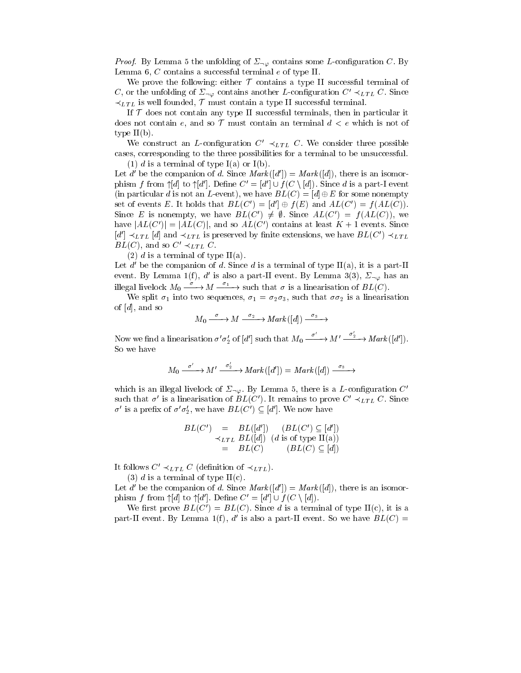*Proof.* By Lemma 5 the unfolding of  $\Sigma_{\neg \varphi}$  contains some L-configuration C. By Lemma 6, C contains a successful terminal e of type II.

We prove the following: either  $\mathcal T$  contains a type II successful terminal of C, or the unfolding of  $\Sigma_{\neg \varphi}$  contains another L-configuration  $C' \prec_{LTL} C$ . Since  $\prec_{LTL}$  is well founded,  $\mathcal T$  must contain a type II successful terminal.

If  $T$  does not contain any type II successful terminals, then in particular it does not contain e, and so  $\mathcal T$  must contain an terminal  $d < e$  which is not of type  $II(b)$ .

We construct an L-configuration  $C' \prec_{LTL} C$ . We consider three possible cases, corresponding to the three possibilities for a terminal to be unsuccessful. (1) d is a terminal of type  $I(a)$  or  $I(b)$ .

Let d' be the companion of d. Since  $Mark([d']) = Mark([d])$ , there is an isomorphism f from  $\uparrow d$  to  $\uparrow d'$ . Define  $C' = [d'] \cup f(C \setminus [d])$ . Since d is a part-I event (in particular d is not an L-event), we have  $BL(C)=[d] \oplus E$  for some nonempty set of events E. It holds that  $BL(C')=[d'] \oplus f (E)$  and  $AL(C')=f (AL(C))$ . Since E is nonempty, we have  $BL(C') \neq \emptyset$ . Since  $AL(C') = f(AL(C))$ , we have  $|AL(C')| = |AL(C)|$ , and so  $AL(C')$  contains at least  $K + 1$  events. Since  $[d'] \prec_{LTL} [d]$  and  $\prec_{LTL}$  is preserved by finite extensions, we have  $BL(C') \prec_{LTL}$  $BL(C)$ , and so  $C' \prec_{LTL} C$ .

(2) d is a terminal of type  $II(a)$ .

Let d' be the companion of d. Since d is a terminal of type  $II(a)$ , it is a part-II event. By Lemma 1(f), d' is also a part-II event. By Lemma 3(3),  $\Sigma_{\neg \varphi}$  has an illegal livelock  $M_0 \xrightarrow{\sigma} M \xrightarrow{\sigma_1}$  such that  $\sigma$  is a linearisation of  $BL(C)$ .

We split  $\sigma_1$  into two sequences,  $\sigma_1 = \sigma_2 \sigma_3$ , such that  $\sigma \sigma_2$  is a linearisation of  $[d]$ , and so

$$
M_0 \xrightarrow{\sigma} M \xrightarrow{\sigma_2} Mark([d]) \xrightarrow{\sigma_3} \rightarrow
$$

Now we find a linearisation  $\sigma' \sigma_2'$  of  $[d']$  such that  $M_0 \xrightarrow{\sigma'} M' \xrightarrow{\sigma'_2} Mark([d'])$ . So we have

$$
M_0 \xrightarrow{\sigma'} M' \xrightarrow{\sigma'_2} Mark([d']) = Mark([d]) \xrightarrow{\sigma_3} \rightarrow
$$

which is an illegal livelock of  $\Sigma_{\neg \varphi}$ . By Lemma 5, there is a L-configuration C' such that  $\sigma'$  is a linearisation of  $BL(C')$ . It remains to prove  $C' \prec_{LTL} C$ . Since  $\sigma'$  is a prefix of  $\sigma'\sigma'_{2}$ , we have  $BL(C') \subseteq [d']$ . We now have

$$
BL(C') = BL([d']) \quad (BL(C') \subseteq [d'])
$$
  
\n
$$
\prec_{LTL} BL([d]) \quad (d \text{ is of type II(a)})
$$
  
\n
$$
= BL(C) \quad (BL(C) \subseteq [d])
$$

It follows  $C' \prec_{LTL} C$  (definition of  $\prec_{LTL}$ ).

(3) d is a terminal of type  $II(c)$ .

Let d' be the companion of d. Since  $Mark([d']) = Mark([d])$ , there is an isomorphism f from  $\uparrow d$  to  $\uparrow d'$ . Define  $C' = [d'] \cup f(C \setminus [d])$ .

We first prove  $BL(C') = BL(C)$ . Since d is a terminal of type II(c), it is a part-II event. By Lemma 1(f), d' is also a part-II event. So we have  $BL(C)$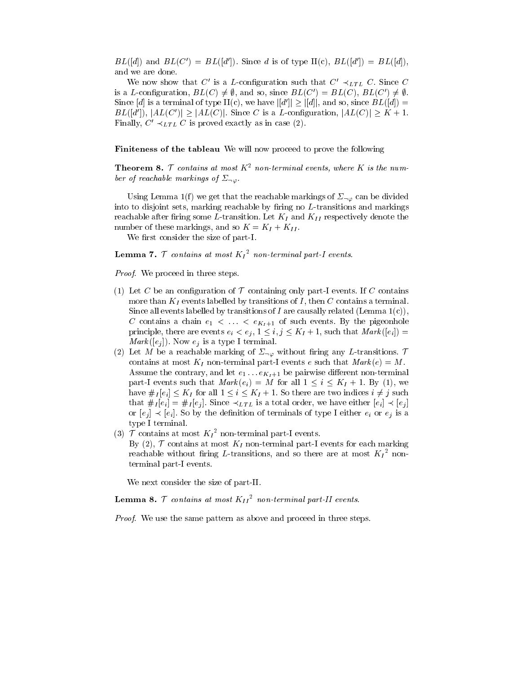$BL([d])$  and  $BL(C') = BL([d'])$ . Since d is of type II(c),  $BL([d']) = BL([d])$ , and we are done.

We now show that C' is a L-configuration such that  $C' \prec_{LTL} C$ . Since C is a L-configuration,  $BL(C) \neq \emptyset$ , and so, since  $BL(C') = BL(C)$ ,  $BL(C') \neq \emptyset$ . Since [d] is a terminal of type II(c), we have  $|[d']| \geq |[d]|$ , and so, since  $BL([d]) =$  $BL([d'])$ ,  $|AL(C')| \geq |AL(C)|$ . Since C is a L-configuration,  $|AL(C)| \geq K + 1$ . Finally,  $C' \prec_{LTL} C$  is proved exactly as in case (2).

Finiteness of the tableau We will now proceed to prove the following

**Theorem 8.**  $\mathcal T$  contains at most  $K^2$  non-terminal events, where K is the number of reachable markings of  $\Sigma_{\neg\varphi}$ .

Using Lemma 1(f) we get that the reachable markings of  $\Sigma_{\neg \varphi}$  can be divided into to disjoint sets, marking reachable by firing no  $L$ -transitions and markings reachable after firing some L-transition. Let  $K_I$  and  $K_{II}$  respectively denote the number of these markings, and so  $K = K_I + K_{II}$ .

We first consider the size of part-I.

**Lemma** 1. 1 contains at most  $K_I^-$  non-terminal part-1 events.

Proof. We proceed in three steps.

- (1) Let C be an configuration of  $\mathcal T$  containing only part-I events. If C contains more than  $K_I$  events labelled by transitions of  $I$ , then  $C$  contains a terminal. Since all events labelled by transitions of I are causally related (Lemma  $1(c)$ ), C contains a chain  $e_1 < \ldots < e_{K_I+1}$  of such events. By the pigeonhole principle, there are events  $e_i < e_j$ ,  $1 \leq i, j \leq K_I + 1$ , such that  $Mark([e_i])$  $Mark([e_i])$ . Now  $e_i$  is a type I terminal.
- (2) Let M be a reachable marking of  $\Sigma_{\neg \varphi}$  without firing any L-transitions.  $\mathcal T$ contains at most  $K_I$  non-terminal part-I events e such that  $Mark(e) = M$ . Assume the contrary, and let  $e_1 \ldots e_{K_I+1}$  be pairwise different non-terminal part-I events such that  $Mark(e_i)=M$  for all  $1 \leq i \leq K_I + 1$ . By (1), we have  $\#_I [e_i] \leq K_I$  for all  $1 \leq i \leq K_I + 1$ . So there are two indices  $i \neq j$  such that  $\#_I [e_i] = \#_I [e_i]$ . Since  $\prec_{LTL}$  is a total order, we have either  $[e_i] \prec [e_i]$ or  $[e_i] \prec [e_i]$ . So by the definition of terminals of type I either  $e_i$  or  $e_j$  is a type I terminal.
- (3) T contains at most  $K_I^-$  non-terminal part-1 events. By (2),  $\mathcal T$  contains at most  $K_I$  non-terminal part-I events for each marking reachable without firing L-transitions, and so there are at most  $K_I$  fronterminal part-I events.

We next consider the size of part-II.

**Lemma 8.** I contains at most  $K_{II}$  non-terminal part-11 events.

Proof. We use the same pattern as above and proceed in three steps.